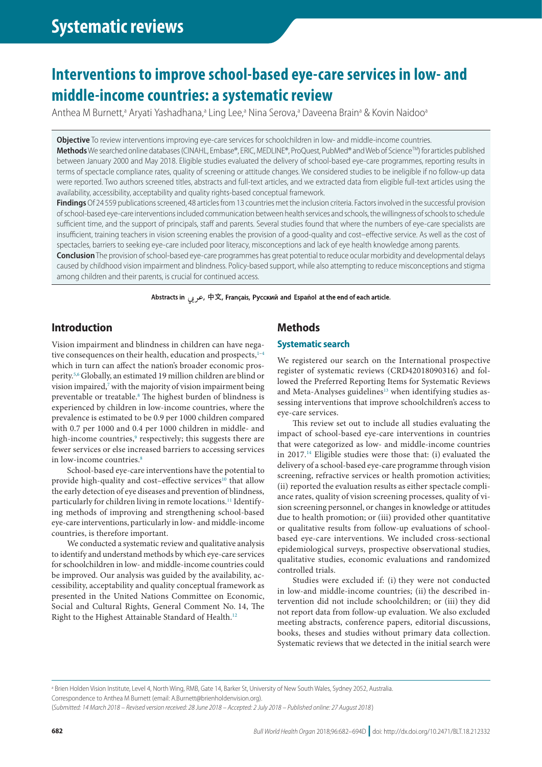# **Interventions to improve school-based eye-care services in low- and middle-income countries: a systematic review**

Anthea M Burnett,<sup>a</sup> Aryati Yashadhana,<sup>a</sup> Ling Lee,<sup>a</sup> Nina Serova,<sup>a</sup> Daveena Brain<sup>a</sup> & Kovin Naidoo<sup>a</sup>

**Objective** To review interventions improving eye-care services for schoolchildren in low- and middle-income countries.

**Methods** We searched online databases (CINAHL, Embase®, ERIC, MEDLINE®, ProQuest, PubMed® and Web of Science™) for articles published between January 2000 and May 2018. Eligible studies evaluated the delivery of school-based eye-care programmes, reporting results in terms of spectacle compliance rates, quality of screening or attitude changes. We considered studies to be ineligible if no follow-up data were reported. Two authors screened titles, abstracts and full-text articles, and we extracted data from eligible full-text articles using the availability, accessibility, acceptability and quality rights-based conceptual framework.

**Findings** Of 24 559 publications screened, 48 articles from 13 countries met the inclusion criteria. Factors involved in the successful provision of school-based eye-care interventions included communication between health services and schools, the willingness of schools to schedule sufficient time, and the support of principals, staff and parents. Several studies found that where the numbers of eye-care specialists are insufficient, training teachers in vision screening enables the provision of a good-quality and cost–effective service. As well as the cost of spectacles, barriers to seeking eye-care included poor literacy, misconceptions and lack of eye health knowledge among parents.

**Conclusion** The provision of school-based eye-care programmes has great potential to reduce ocular morbidity and developmental delays caused by childhood vision impairment and blindness. Policy-based support, while also attempting to reduce misconceptions and stigma among children and their parents, is crucial for continued access.

Abstracts in جربی, 中文, Français, Русский and Español at the end of each article.

# **Introduction**

Vision impairment and blindness in children can have negative consequences on their health, education and prospects, $1-4$  $1-4$ which in turn can affect the nation's broader economic prosperity.[5](#page-10-2),[6](#page-10-3) Globally, an estimated 19 million children are blind or vision impaired, $^7$  $^7$  with the majority of vision impairment being preventable or treatable.<sup>[8](#page-10-5)</sup> The highest burden of blindness is experienced by children in low-income countries, where the prevalence is estimated to be 0.9 per 1000 children compared with 0.7 per 1000 and 0.4 per 1000 children in middle- and high-income countries,<sup>[9](#page-10-6)</sup> respectively; this suggests there are fewer services or else increased barriers to accessing services in low-income countries.<sup>[8](#page-10-5)</sup>

School-based eye-care interventions have the potential to provide high-quality and cost–effective services<sup>10</sup> that allow the early detection of eye diseases and prevention of blindness, particularly for children living in remote locations.<sup>11</sup> Identifying methods of improving and strengthening school-based eye-care interventions, particularly in low- and middle-income countries, is therefore important.

We conducted a systematic review and qualitative analysis to identify and understand methods by which eye-care services for schoolchildren in low- and middle-income countries could be improved. Our analysis was guided by the availability, accessibility, acceptability and quality conceptual framework as presented in the United Nations Committee on Economic, Social and Cultural Rights, General Comment No. 14, The Right to the Highest Attainable Standard of Health[.12](#page-10-9)

# **Methods**

# **Systematic search**

We registered our search on the International prospective register of systematic reviews (CRD42018090316) and followed the Preferred Reporting Items for Systematic Reviews and Meta-Analyses guidelines<sup>13</sup> when identifying studies assessing interventions that improve schoolchildren's access to eye-care services.

This review set out to include all studies evaluating the impact of school-based eye-care interventions in countries that were categorized as low- and middle-income countries in  $2017<sup>14</sup>$  $2017<sup>14</sup>$  $2017<sup>14</sup>$  Eligible studies were those that: (i) evaluated the delivery of a school-based eye-care programme through vision screening, refractive services or health promotion activities; (ii) reported the evaluation results as either spectacle compliance rates, quality of vision screening processes, quality of vision screening personnel, or changes in knowledge or attitudes due to health promotion; or (iii) provided other quantitative or qualitative results from follow-up evaluations of schoolbased eye-care interventions. We included cross-sectional epidemiological surveys, prospective observational studies, qualitative studies, economic evaluations and randomized controlled trials.

Studies were excluded if: (i) they were not conducted in low-and middle-income countries; (ii) the described intervention did not include schoolchildren; or (iii) they did not report data from follow-up evaluation. We also excluded meeting abstracts, conference papers, editorial discussions, books, theses and studies without primary data collection. Systematic reviews that we detected in the initial search were

a Brien Holden Vision Institute, Level 4, North Wing, RMB, Gate 14, Barker St, University of New South Wales, Sydney 2052, Australia.

Correspondence to Anthea M Burnett (email: A.Burnett@brienholdenvision.org).

(*Submitted: 14 March 2018 – Revised version received: 28 June 2018 – Accepted: 2 July 2018 – Published online: 27 August 2018* )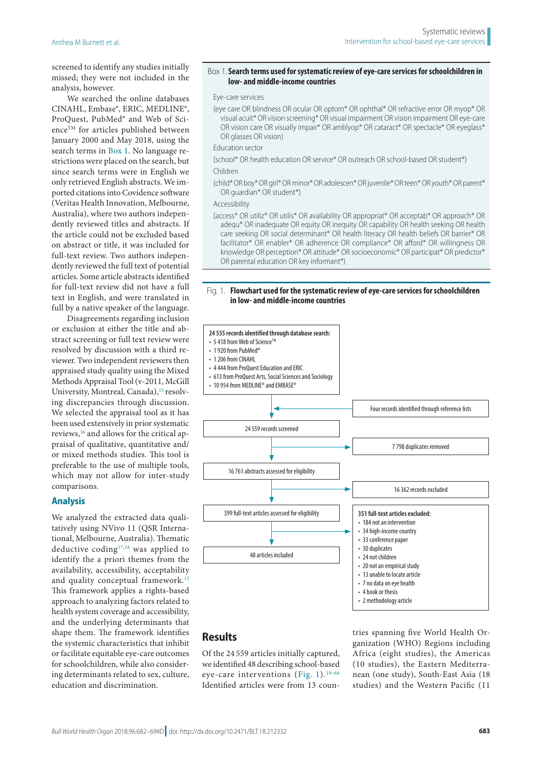screened to identify any studies initially missed; they were not included in the analysis, however.

We searched the online databases CINAHL, Embase®, ERIC, MEDLINE®, ProQuest, PubMed® and Web of Sci- $\mathsf{enc}^\mathsf{\tiny TM}$  for articles published between January 2000 and May 2018, using the search terms in [Box](#page-1-0) 1. No language restrictions were placed on the search, but since search terms were in English we only retrieved English abstracts. We imported citations into Covidence software (Veritas Health Innovation, Melbourne, Australia), where two authors independently reviewed titles and abstracts. If the article could not be excluded based on abstract or title, it was included for full-text review. Two authors independently reviewed the full text of potential articles. Some article abstracts identified for full-text review did not have a full text in English, and were translated in full by a native speaker of the language.

Disagreements regarding inclusion or exclusion at either the title and abstract screening or full text review were resolved by discussion with a third reviewer. Two independent reviewers then appraised study quality using the Mixed Methods Appraisal Tool (v-2011, McGill University, Montreal, Canada),<sup>15</sup> resolving discrepancies through discussion. We selected the appraisal tool as it has been used extensively in prior systematic reviews,<sup>16</sup> and allows for the critical appraisal of qualitative, quantitative and/ or mixed methods studies. This tool is preferable to the use of multiple tools, which may not allow for inter-study comparisons.

#### **Analysis**

We analyzed the extracted data qualitatively using NVivo 11 (QSR International, Melbourne, Australia). Thematic deductive coding $17,18}$  $17,18}$  was applied to identify the a priori themes from the availability, accessibility, acceptability and quality conceptual framework.<sup>12</sup> This framework applies a rights-based approach to analyzing factors related to health system coverage and accessibility, and the underlying determinants that shape them. The framework identifies the systemic characteristics that inhibit or facilitate equitable eye-care outcomes for schoolchildren, while also considering determinants related to sex, culture, education and discrimination.

#### <span id="page-1-0"></span>Box 1.**Search terms used for systematic review of eye-care services for schoolchildren in low- and middle-income countries**

#### Eye-care services

(eye care OR blindness OR ocular OR optom\* OR ophthal\* OR refractive error OR myop\* OR visual acuit\* OR vision screening\* OR visual impairment OR vision impairment OR eye-care OR vision care OR visually impair\* OR amblyop\* OR cataract\* OR spectacle\* OR eyeglass\* OR glasses OR vision)

Education sector

- (school\* OR health education OR service\* OR outreach OR school-based OR student\*) Children
- (child\* OR boy\* OR girl\* OR minor\* OR adolescen\* OR juvenile\* OR teen\* OR youth\* OR parent\* OR guardian\* OR student\*)

#### Accessibility

(access\* OR utiliz\* OR utilis\* OR availability OR appropriat\* OR acceptab\* OR approach\* OR adequ\* OR inadequate OR equity OR inequity OR capability OR health seeking OR health care seeking OR social determinant\* OR health literacy OR health beliefs OR barrier\* OR facilitator\* OR enabler\* OR adherence OR compliance\* OR afford\* OR willingness OR knowledge OR perception\* OR attitude\* OR socioeconomic\* OR participat\* OR predictor\* OR parental education OR key informant\*)

#### <span id="page-1-1"></span>Fig. 1. **Flowchart used for the systematic review of eye-care services for schoolchildren in low- and middle-income countries**



# **Results**

Of the 24 559 articles initially captured, we identified 48 describing school-based eye-care interventions ([Fig.](#page-1-1) 1). [19](#page-11-4)–[66](#page-12-0) Identified articles were from 13 countries spanning five World Health Organization (WHO) Regions including Africa (eight studies), the Americas (10 studies), the Eastern Mediterranean (one study), South-East Asia (18 studies) and the Western Pacific (11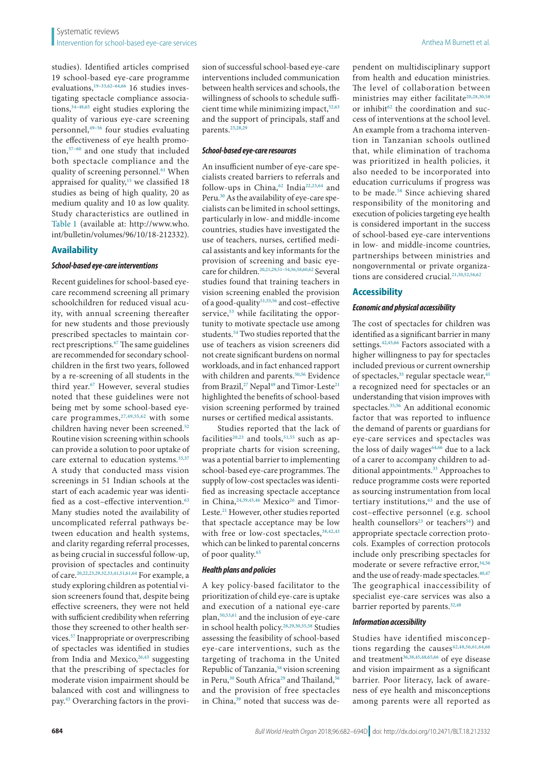studies). Identified articles comprised 19 school-based eye-care programme evaluations,[19](#page-11-4)[–33,](#page-11-5)[62](#page-12-1)[–64,](#page-12-2)[66](#page-12-0) 16 studies investigating spectacle compliance associations[,34–](#page-11-6)[48](#page-11-7)[,65](#page-12-3) eight studies exploring the quality of various eye-care screening personnel,<sup>49-[56](#page-12-4)</sup> four studies evaluating the effectiveness of eye health promotion[,57–](#page-12-5)[60](#page-12-6) and one study that included both spectacle compliance and the quality of screening personnel.<sup>61</sup> When appraised for quality,<sup>15</sup> we classified 18 studies as being of high quality, 20 as medium quality and 10 as low quality. Study characteristics are outlined in [Table](#page-13-0) 1 (available at: [http://www.who.](http://www.who.int/bulletin/volumes/96/10/18-212332) [int/bulletin/volumes/96/10/18-212332](http://www.who.int/bulletin/volumes/96/10/18-212332)).

# **Availability**

#### *School-based eye-care interventions*

Recent guidelines for school-based eyecare recommend screening all primary schoolchildren for reduced visual acuity, with annual screening thereafter for new students and those previously prescribed spectacles to maintain correct prescriptions[.67](#page-12-8) The same guidelines are recommended for secondary schoolchildren in the first two years, followed by a re-screening of all students in the third year.<sup>67</sup> However, several studies noted that these guidelines were not being met by some school-based eyecare programmes,  $27,49,55,62$  $27,49,55,62$  $27,49,55,62$  $27,49,55,62$  $27,49,55,62$  with some children having never been screened.<sup>[52](#page-12-10)</sup> Routine vision screening within schools can provide a solution to poor uptake of care external to education systems.<sup>[33](#page-11-5),[37](#page-11-10)</sup> A study that conducted mass vision screenings in 51 Indian schools at the start of each academic year was identified as a cost-effective intervention.<sup>63</sup> Many studies noted the availability of uncomplicated referral pathways between education and health systems, and clarity regarding referral processes, as being crucial in successful follow-up, provision of spectacles and continuity of care[.20,](#page-11-11)[22,](#page-11-12)[23](#page-11-13),[29](#page-11-14)[,32,](#page-11-15)[33,](#page-11-5)[41](#page-11-16),[51](#page-11-17)[,61,](#page-12-7)[64](#page-12-2) For example, a study exploring children as potential vision screeners found that, despite being effective screeners, they were not held with sufficient credibility when referring those they screened to other health services[.57](#page-12-5) Inappropriate or overprescribing of spectacles was identified in studies from India and Mexico,  $26,43$  $26,43$  suggesting that the prescribing of spectacles for moderate vision impairment should be balanced with cost and willingness to pay.[43](#page-11-19) Overarching factors in the provision of successful school-based eye-care interventions included communication between health services and schools, the willingness of schools to schedule sufficient time while minimizing impact,  $52,63$  $52,63$ and the support of principals, staff and parents.<sup>[23](#page-11-13),[28](#page-11-20)[,29](#page-11-14)</sup>

#### *School-based eye-care resources*

An insufficient number of eye-care specialists created barriers to referrals and follow-ups in China,<sup>[62](#page-12-1)</sup> India<sup>[22](#page-11-12),[23](#page-11-13),[64](#page-12-2)</sup> and Peru.[30](#page-11-21) As the availability of eye-care specialists can be limited in school settings, particularly in low- and middle-income countries, studies have investigated the use of teachers, nurses, certified medical assistants and key informants for the provision of screening and basic eye-care for children.<sup>20,[21](#page-11-22)[,29,](#page-11-14)[51](#page-11-17)-54,[56](#page-12-4)[,58](#page-12-13),[60](#page-12-6),62</sup> Several studies found that training teachers in vision screening enabled the provision of a good-quality<sup>[51](#page-11-17)[,53,](#page-12-14)[56](#page-12-4)</sup> and cost-effective service,<sup>[53](#page-12-14)</sup> while facilitating the opportunity to motivate spectacle use among students[.54](#page-12-12) Two studies reported that the use of teachers as vision screeners did not create significant burdens on normal workloads, and in fact enhanced rapport with children and parents.<sup>[50](#page-11-23),56</sup> Evidence from Brazil,<sup>27</sup> Nepal<sup>49</sup> and Timor-Leste<sup>[21](#page-11-22)</sup> highlighted the benefits of school-based vision screening performed by trained nurses or certified medical assistants.

Studies reported that the lack of facilities<sup>20,23</sup> and tools,<sup>51,55</sup> such as appropriate charts for vision screening, was a potential barrier to implementing school-based eye-care programmes. The supply of low-cost spectacles was identified as increasing spectacle acceptance in China, <sup>[24](#page-11-24),[39](#page-11-25)[,45](#page-11-26),46</sup> Mexico<sup>26</sup> and Timor-Leste[.21](#page-11-22) However, other studies reported that spectacle acceptance may be low with free or low-cost spectacles,  $38,42,43$  $38,42,43$  $38,42,43$  $38,42,43$  $38,42,43$ which can be linked to parental concerns of poor quality[.65](#page-12-3)

### *Health plans and policies*

A key policy-based facilitator to the prioritization of child eye-care is uptake and execution of a national eye-care plan[,50,](#page-11-23)[53](#page-12-14),[61](#page-12-7) and the inclusion of eye-care in school health policy.[28](#page-11-20),[29](#page-11-14)[,50](#page-11-23)[,55,](#page-12-9)[58](#page-12-13) Studies assessing the feasibility of school-based eye-care interventions, such as the targeting of trachoma in the United Republic of Tanzania,<sup>58</sup> vision screening in Peru,<sup>[30](#page-11-21)</sup> South Africa<sup>[29](#page-11-14)</sup> and Thailand,<sup>[56](#page-12-4)</sup> and the provision of free spectacles in China,<sup>39</sup> noted that success was dependent on multidisciplinary support from health and education ministries. The level of collaboration between ministries may either facilitate<sup>[20,](#page-11-11)[28,](#page-11-20)[30,](#page-11-21)[58](#page-12-13)</sup> or inhibit<sup>[62](#page-12-1)</sup> the coordination and success of interventions at the school level. An example from a trachoma intervention in Tanzanian schools outlined that, while elimination of trachoma was prioritized in health policies, it also needed to be incorporated into education curriculums if progress was to be made.<sup>58</sup> Since achieving shared responsibility of the monitoring and execution of policies targeting eye health is considered important in the success of school-based eye-care interventions in low- and middle-income countries, partnerships between ministries and nongovernmental or private organiza-tions are considered crucial.<sup>21,[30,](#page-11-21)[52](#page-12-10),[56](#page-12-4)[,62](#page-12-1)</sup>

### **Accessibility**

#### *Economic and physical accessibility*

The cost of spectacles for children was identified as a significant barrier in many settings.<sup>42,[45,](#page-11-26)[66](#page-12-0)</sup> Factors associated with a higher willingness to pay for spectacles included previous or current ownership of spectacles,<sup>35</sup> regular spectacle wear,<sup>45</sup> a recognized need for spectacles or an understanding that vision improves with spectacles.<sup>35,[56](#page-12-4)</sup> An additional economic factor that was reported to influence the demand of parents or guardians for eye-care services and spectacles was the loss of daily wages<sup>64,[66](#page-12-0)</sup> due to a lack of a carer to accompany children to additional appointments.<sup>33</sup> Approaches to reduce programme costs were reported as sourcing instrumentation from local tertiary institutions,<sup>63</sup> and the use of cost–effective personnel (e.g. school health counsellors<sup>23</sup> or teachers<sup>[54](#page-12-12)</sup>) and appropriate spectacle correction protocols. Examples of correction protocols include only prescribing spectacles for moderate or severe refractive error, 34[,56](#page-12-4) and the use of ready-made spectacles.<sup>[40](#page-11-31)[,47](#page-11-32)</sup> The geographical inaccessibility of specialist eye-care services was also a barrier reported by parents.<sup>[32](#page-11-15)[,48](#page-11-7)</sup>

# *Information accessibility*

Studies have identified misconcep-tions regarding the causes<sup>[42](#page-11-29)[,48](#page-11-7),[56](#page-12-4),[61](#page-12-7),[64,](#page-12-2)[66](#page-12-0)</sup> and treatment<sup>[36](#page-11-33),[38](#page-11-28)[,45,](#page-11-26)[48](#page-11-7),[65](#page-12-3),66</sup> of eye disease and vision impairment as a significant barrier. Poor literacy, lack of awareness of eye health and misconceptions among parents were all reported as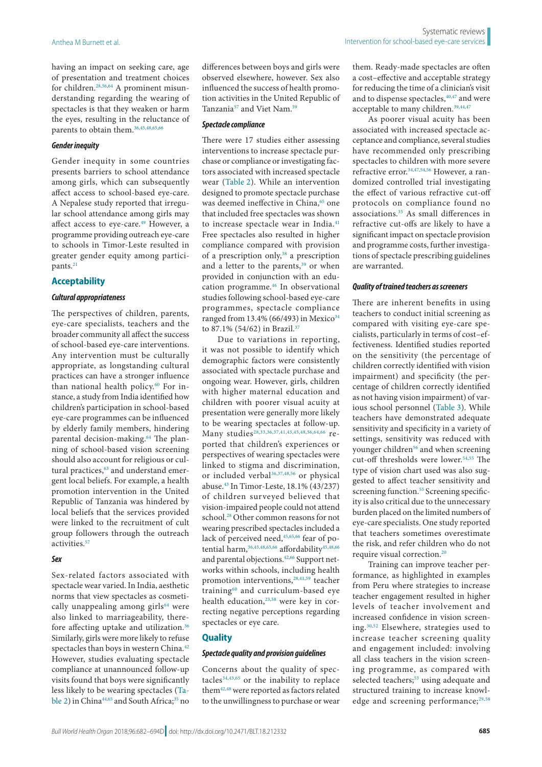having an impact on seeking care, age of presentation and treatment choices for children.<sup>28,[56](#page-12-4),[64](#page-12-2)</sup> A prominent misunderstanding regarding the wearing of spectacles is that they weaken or harm the eyes, resulting in the reluctance of parents to obtain them[.36,](#page-11-33)[45](#page-11-26),[48](#page-11-7)[,65](#page-12-3)[,66](#page-12-0)

### *Gender inequity*

Gender inequity in some countries presents barriers to school attendance among girls, which can subsequently affect access to school-based eye-care. A Nepalese study reported that irregular school attendance among girls may affect access to eye-care.<sup>[49](#page-11-8)</sup> However, a programme providing outreach eye-care to schools in Timor-Leste resulted in greater gender equity among partici-pants.<sup>[21](#page-11-22)</sup>

#### **Acceptability**

#### *Cultural appropriateness*

The perspectives of children, parents, eye-care specialists, teachers and the broader community all affect the success of school-based eye-care interventions. Any intervention must be culturally appropriate, as longstanding cultural practices can have a stronger influence than national health policy.<sup>60</sup> For instance, a study from India identified how children's participation in school-based eye-care programmes can be influenced by elderly family members, hindering parental decision-making.<sup>[64](#page-12-2)</sup> The planning of school-based vision screening should also account for religious or cultural practices,<sup>63</sup> and understand emergent local beliefs. For example, a health promotion intervention in the United Republic of Tanzania was hindered by local beliefs that the services provided were linked to the recruitment of cult group followers through the outreach activities.<sup>57</sup>

# *Sex*

Sex-related factors associated with spectacle wear varied. In India, aesthetic norms that view spectacles as cosmetically unappealing among girls<sup>64</sup> were also linked to marriageability, therefore affecting uptake and utilization[.36](#page-11-33) Similarly, girls were more likely to refuse spectacles than boys in western China.<sup>[42](#page-11-29)</sup> However, studies evaluating spectacle compliance at unannounced follow-up visits found that boys were significantly less likely to be wearing spectacles [\(Ta](#page-4-0)[ble](#page-4-0) 2) in China<sup>44,65</sup> and South Africa;<sup>35</sup> no

#### *Spectacle compliance*

There were 17 studies either assessing interventions to increase spectacle purchase or compliance or investigating factors associated with increased spectacle wear ([Table](#page-4-0) 2). While an intervention designed to promote spectacle purchase was deemed ineffective in China,<sup>65</sup> one that included free spectacles was shown to increase spectacle wear in India.<sup>[41](#page-11-16)</sup> Free spectacles also resulted in higher compliance compared with provision of a prescription only, $38$  a prescription and a letter to the parents,<sup>[39](#page-11-25)</sup> or when provided in conjunction with an edu-cation programme.<sup>[46](#page-11-27)</sup> In observational studies following school-based eye-care programmes, spectacle compliance ranged from 13.4% (66/493) in Mexico<sup>[34](#page-11-6)</sup> to 87.1% (54/62) in Brazil.[37](#page-11-10)

Due to variations in reporting, it was not possible to identify which demographic factors were consistently associated with spectacle purchase and ongoing wear. However, girls, children with higher maternal education and children with poorer visual acuity at presentation were generally more likely to be wearing spectacles at follow-up. Many studies<sup>[28](#page-11-20),[33,](#page-11-5)[36](#page-11-33),[37](#page-11-10),[41,](#page-11-16)[43](#page-11-19),[45](#page-11-26),[48,](#page-11-7)[56](#page-12-4),[64,](#page-12-2)66</sup> reported that children's experiences or perspectives of wearing spectacles were linked to stigma and discrimination, or included verbal<sup>[36,](#page-11-33)[37,](#page-11-10)[48,](#page-11-7)56</sup> or physical abuse.[43](#page-11-19) In Timor-Leste, 18.1% (43/237) of children surveyed believed that vision-impaired people could not attend school[.28](#page-11-20) Other common reasons for not wearing prescribed spectacles included a lack of perceived need, [45](#page-11-26),[65](#page-12-3)[,66](#page-12-0) fear of po-tential harm,<sup>36,[45,](#page-11-26)[48](#page-11-7),[65](#page-12-3),66</sup> affordability<sup>45,[48,](#page-11-7)[66](#page-12-0)</sup> and parental objections[.42](#page-11-29),[66](#page-12-0) Support networks within schools, including health promotion interventions,<sup>28,[41,](#page-11-16)[59](#page-12-15)</sup> teacher training[60](#page-12-6) and curriculum-based eye health education,<sup>23,58</sup> were key in correcting negative perceptions regarding spectacles or eye care.

# **Quality**

#### *Spectacle quality and provision guidelines*

Concerns about the quality of spectacles $34,43,65$  $34,43,65$  $34,43,65$  $34,43,65$  $34,43,65$  or the inability to replace them[42](#page-11-29),[48](#page-11-7) were reported as factors related to the unwillingness to purchase or wear them. Ready-made spectacles are often a cost–effective and acceptable strategy for reducing the time of a clinician's visit and to dispense spectacles,  $40,47$  $40,47$  $40,47$  and were acceptable to many children.<sup>[39](#page-11-25)[,44,](#page-11-34)[47](#page-11-32)</sup>

As poorer visual acuity has been associated with increased spectacle acceptance and compliance, several studies have recommended only prescribing spectacles to children with more severe refractive error[.34,](#page-11-6)[47](#page-11-32),[54](#page-12-12)[,56](#page-12-4) However, a randomized controlled trial investigating the effect of various refractive cut-off protocols on compliance found no associations[.35](#page-11-30) As small differences in refractive cut-offs are likely to have a significant impact on spectacle provision and programme costs, further investigations of spectacle prescribing guidelines are warranted.

#### *Quality of trained teachers as screeners*

There are inherent benefits in using teachers to conduct initial screening as compared with visiting eye-care specialists, particularly in terms of cost–effectiveness. Identified studies reported on the sensitivity (the percentage of children correctly identified with vision impairment) and specificity (the percentage of children correctly identified as not having vision impairment) of various school personnel ([Table](#page-7-0) 3). While teachers have demonstrated adequate sensitivity and specificity in a variety of settings, sensitivity was reduced with younger children<sup>[56](#page-12-4)</sup> and when screening cut-off thresholds were lower.<sup>54,55</sup> The type of vision chart used was also suggested to affect teacher sensitivity and screening function.<sup>55</sup> Screening specificity is also critical due to the unnecessary burden placed on the limited numbers of eye-care specialists. One study reported that teachers sometimes overestimate the risk, and refer children who do not require visual correction.[20](#page-11-11)

Training can improve teacher performance, as highlighted in examples from Peru where strategies to increase teacher engagement resulted in higher levels of teacher involvement and increased confidence in vision screening.[30,](#page-11-21)[52](#page-12-10) Elsewhere, strategies used to increase teacher screening quality and engagement included: involving all class teachers in the vision screening programme, as compared with selected teachers;<sup>[53](#page-12-14)</sup> using adequate and structured training to increase knowl-edge and screening performance;<sup>[29,](#page-11-14)[58](#page-12-13)</sup>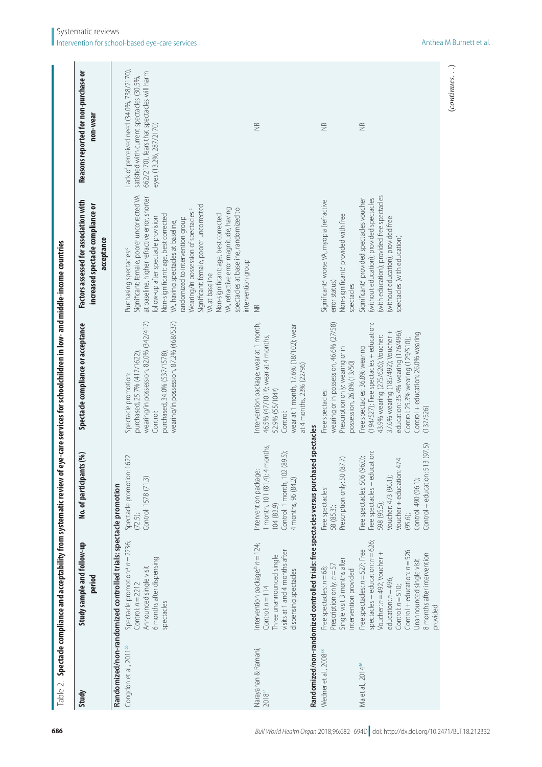<span id="page-4-0"></span>

|                                           | Table 2. Spectacle compliance and acceptability from systematic review of                                                                                                                                                                                          |                                                                                                                                                                                                                | eye-care services for schoolchildren in low- and middle-income countries                                                                                                                                                                                                            |                                                                                                                                                                                                                                                                                                                                                                                                                                                                                                                                                |                                                                                                                                                                |
|-------------------------------------------|--------------------------------------------------------------------------------------------------------------------------------------------------------------------------------------------------------------------------------------------------------------------|----------------------------------------------------------------------------------------------------------------------------------------------------------------------------------------------------------------|-------------------------------------------------------------------------------------------------------------------------------------------------------------------------------------------------------------------------------------------------------------------------------------|------------------------------------------------------------------------------------------------------------------------------------------------------------------------------------------------------------------------------------------------------------------------------------------------------------------------------------------------------------------------------------------------------------------------------------------------------------------------------------------------------------------------------------------------|----------------------------------------------------------------------------------------------------------------------------------------------------------------|
| Study                                     | Study sample and follow-up<br>period                                                                                                                                                                                                                               | nts(%)<br>No. of participar                                                                                                                                                                                    | Spectacle compliance or acceptance                                                                                                                                                                                                                                                  | Factors assessed for association with<br>increased spectacle compliance or<br>acceptance                                                                                                                                                                                                                                                                                                                                                                                                                                                       | Reasons reported for non-purchase or<br>non-wear                                                                                                               |
| Congdon et al., 2011 <sup>65</sup>        | Randomized/non-randomized controlled trials: spectacle promotion<br>Spectacle promotion: $n = 2236$ ;<br>6 months after dispensing<br>Announced single visit<br>Control: $n = 2212$<br>spectacles                                                                  | 1622<br>Spectacle promotion:<br>Control: 1578 (71.3)<br>$(72.5)$ ;                                                                                                                                             | wearing/in possession, 82.0% (342/417)<br>wearing/in possession, 87.2% (468/537)<br>purchased, 34.0% (537/1578);<br>purchased, 25.7% (417/1622);<br>Spectacle promotion:<br>Control:                                                                                                | Significant: female, poorer uncorrected VA<br>at baseline, higher refractive error, shorter<br>Significant: female, poorer uncorrected<br>VA, refractive error magnitude, having<br>spectacles at baseline, randomized to<br>Wearing/in possession of spectacles:<br>Non-significant: age, best corrected<br>Non-significant: age, best corrected<br>ollow-up after spectacle provision<br>andomized to intervention group<br>VA, having spectacles at baseline,<br>Purchasing spectacles: <sup>c</sup><br>ntervention group<br>VA at baseline | Lack of perceived need (34.0%, 738/2170),<br>662/2170), fears that spectacles will harm<br>satisfied with current spectacles (30.5%,<br>eyes (13.2%, 287/2170) |
| Narayanan & Ramani,<br>2018 <sup>41</sup> | Randomized/non-randomized controlled trials: free spectacles versus purcha<br>Intervention package: $h = 124$ ;<br>visits at 1 and 4 months after<br>Three unannounced single<br>dispensing spectacles<br>Control: $n = 114$                                       | sed spectacles<br>1 month, 101 (81.4); 4 months,<br>Control: 1 month, 102 (89.5);<br>Intervention package<br>4 months, 96 (84.2)<br>104(83.9)                                                                  | Intervention package: wear at 1 month,<br>wear at 1 month, 17.6% (18/102); wear<br>46.5% (47/1019); wear at 4 months,<br>at 4 months, 23% (22/96)<br>52.9% (55/1049)<br>Control:                                                                                                    | $\widetilde{\Xi}$                                                                                                                                                                                                                                                                                                                                                                                                                                                                                                                              | $\widetilde{\Xi}$                                                                                                                                              |
| Wedner et al., 2008 <sup>3</sup>          | Single visit 3 months after<br>Prescription only: $n = 57$<br>Free spectacles: $n = 68$ ;<br>intervention provided                                                                                                                                                 | Prescription only: 50 (87.7)<br>Free spectacles:<br>58 (85.3);                                                                                                                                                 | wearing or in possession, 46.6% (27/58)<br>Prescription only: wearing or in<br>possession, 26.0% (13/50)<br>Free spectacles:                                                                                                                                                        | Significant: <worseva, (refractive<br="" myopia="">Non-significant: provided with free<br/>error status)<br/>spectacles</worseva,>                                                                                                                                                                                                                                                                                                                                                                                                             | $\widetilde{\Xi}$                                                                                                                                              |
| Ma et al., 2014 <sup>46</sup>             | spectacles + education: $n = 626$ ;<br>Free spectacles: $n = 527$ ; Free<br>Control $+$ education: $n = 526$<br>Voucher: n=492; Voucher +<br>8 months after intervention<br>Unannounced single visit<br>education: $n = 496$ ;<br>Control: $n = 510$ ;<br>provided | 513 (97.5)<br>Free spectacles + education:<br>Free spectacles: 506 (96.0);<br>474<br>Voucher + education:<br>Control + education:<br>Voucher: 473 (96.1);<br>Control: 490 (96.1);<br>598 (95.5);<br>$(95.6)$ ; | (194/527); Free spectacles + education:<br>education: 35.4% wearing (176/496);<br>37.6% wearing (185/492); Voucher +<br>Control + education: 26.0% wearing<br>43.9% wearing (275/626); Voucher:<br>Control: 25.3% wearing (129/510);<br>Free spectacles: 36.8% wearing<br>(137/526) | with education); provided free spectacles<br>without education); provided spectacles<br>Significant: provided spectacles voucher<br>(without education); provided free<br>spectacles (with education)                                                                                                                                                                                                                                                                                                                                          | $\frac{\alpha}{2}$                                                                                                                                             |

 $(continues...)$ (*continues*. . .)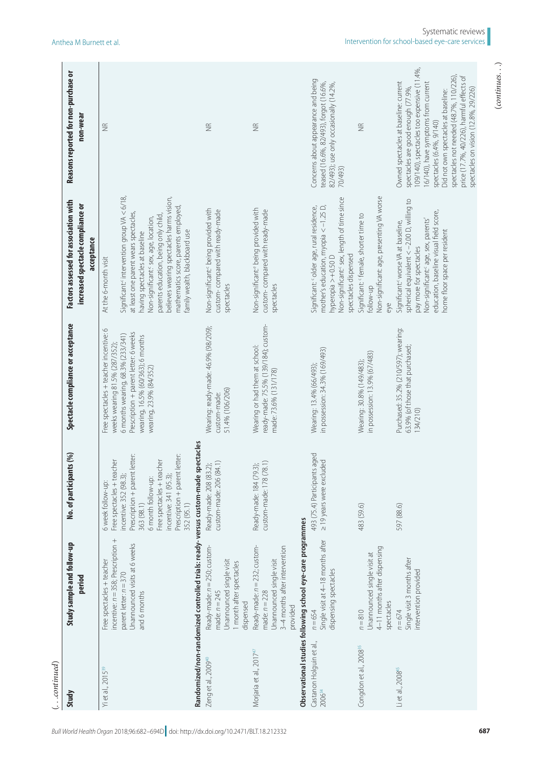|                           | Reasons reported for non-purchase or<br>non-wear                                         | $\widetilde{\Xi}$                                                                                                                                                                                                                                                                                                                                  |                                                                                  | $\widetilde{\Xi}$                                                                                                       | $\frac{\alpha}{2}$                                                                                                          |                                                            | Concerns about appearance and being<br>teased (16.6%, 82/493), forgot (16.6%,<br>82/493); use only occasionally (14.2%,<br>70/493)                                                           | $\widetilde{\Xi}$                                                                                      | 109/140), spectacles too expensive (11.4%,<br>spectacles not needed (48.7%, 110/226),<br>price (17.7%, 40/226), harmful effects of<br>Owned spectacles at baseline: current<br>16/140), have symptoms from current<br>spectacles are good enough (77.9%,<br>spectacles on vision (12.8%, 29/226)<br>Did not own spectacles at baseline:<br>spectacles (6.4%, 9/140) |
|---------------------------|------------------------------------------------------------------------------------------|----------------------------------------------------------------------------------------------------------------------------------------------------------------------------------------------------------------------------------------------------------------------------------------------------------------------------------------------------|----------------------------------------------------------------------------------|-------------------------------------------------------------------------------------------------------------------------|-----------------------------------------------------------------------------------------------------------------------------|------------------------------------------------------------|----------------------------------------------------------------------------------------------------------------------------------------------------------------------------------------------|--------------------------------------------------------------------------------------------------------|---------------------------------------------------------------------------------------------------------------------------------------------------------------------------------------------------------------------------------------------------------------------------------------------------------------------------------------------------------------------|
|                           | Factors assessed for association with<br>increased spectacle compliance or<br>acceptance | Significant: intervention group VA $<$ 6/18,<br>believes wearing spectacles harms vision,<br>mathematics score, parents employed<br>at least one parent wears spectacles,<br>parents education, being only child<br>Non-significant: sex, age, location,<br>family wealth, blackboard use<br>having spectacles at baseline<br>At the 6-month visit |                                                                                  | Non-significant: being provided with<br>custom-compared with ready-made<br>spectacles                                   | Non-significant: being provided with<br>custom-compared with ready-made<br>spectacles                                       |                                                            | Non-significant: sex, length of time since<br>mother's education, myopia $<-1.25$ D,<br>Significant: <sup>c</sup> older age, rural residence,<br>spectacles dispensed<br>hyperopia > +0.50 D | Non-significant: age, presenting VA worse<br>Significant: 'female, shorter time to<br>follow-up<br>eye | spherical equivalent <- 2.00 D, willing to<br>education, baseline visual field score,<br>Non-significant: age, sex, parents'<br>Significant: <worse at="" baseline,<br="" va="">home floor space per resident<br/>pay more for spectacles</worse>                                                                                                                   |
|                           | Spectacle compliance or acceptance                                                       | Free spectacles + teacher incentive: 6<br>Prescription + parent letter: 6 weeks<br>6 months wearing, 68.3% (233/341)<br>wearing, 16.5% (60/363); 6 months<br>weeks wearing 81.5% (287/352);<br>wearing, 23.9% (84/352)                                                                                                                             |                                                                                  | Wearing: ready-made: 46.9% (98/209);<br>51.4% (106/206)<br>custom-made:                                                 | ready-made: 75.5% (139/184); custom-<br>Wearing or had them at school:<br>made: 73.6% (131/178)                             |                                                            | in possession: 34.3% (169/493)<br>Wearing: 13.4% (66/493);                                                                                                                                   | in possession: 13.9% (67/483)<br>Wearing: 30.8% (149/483);                                             | Purchased: 35.2% (210/597); wearing:<br>63.9% (of those that purchased;<br>134/210)                                                                                                                                                                                                                                                                                 |
|                           | No. of participants (%)                                                                  | letter:<br>: letter:<br>Free spectacles + teacher<br>Free spectacles + teacher<br>Prescription + parent<br>Prescription + parent<br>incentive: 352 (98.3);<br>incentive: 341 (95.3);<br>6 month follow-up:<br>6 week follow-up:<br>352 (95.1)<br>363 (98.1)                                                                                        |                                                                                  | custom-made: 206 (84.1)<br>Ready-made: 208 (83.2);                                                                      | custom-made: 178 (78.1)<br>Ready-made: 184 (79.3);                                                                          |                                                            | 493 (75.4) Participants aged<br>219 years were excluded                                                                                                                                      | 483 (59.6)                                                                                             | 597 (88.6)                                                                                                                                                                                                                                                                                                                                                          |
|                           | Study sample and follow-up<br>period                                                     | incentive: $n = 358$ ; Prescription +<br>Unannounced visits at 6 weeks<br>Free spectacles + teacher<br>parent letter: $n = 370$<br>and 6 months                                                                                                                                                                                                    | Randomized/non-randomized controlled trials: ready-versus custom-made spectacles | Ready-made: $n = 250$ ; custom-<br>Unannounced single visit<br>1 month after spectacles<br>made: $n = 245$<br>dispensed | Ready-made: $n = 232$ ; custom-<br>3-4 months after intervention<br>Unannounced single visit<br>made: $n = 228$<br>provided | Observational studies following school eye-care programmes | Single visit at 4-18 months after<br>dispensing spectacles<br>$n = 654$                                                                                                                      | 4-11 months after dispensing<br>Unannounced single visit at<br>spectacles<br>$n = 810$                 | Single visit 3 months after<br>intervention provided<br>$n = 674$                                                                                                                                                                                                                                                                                                   |
| $\left(\ldots$ continued) | Study                                                                                    | Yi et al., 2015 <sup>39</sup>                                                                                                                                                                                                                                                                                                                      |                                                                                  | Zeng et al., 2009 <sup>40</sup>                                                                                         | Morjaria et al., 2017 <sup>47</sup>                                                                                         |                                                            | Castanon Holguin et al.,<br>2006 <sup>34</sup>                                                                                                                                               | Congdon et al., 2008 <sup>35</sup>                                                                     | Li et al., 2008 <sup>45</sup>                                                                                                                                                                                                                                                                                                                                       |

 $(continues. \ . \ .)$ (*continues*. . .)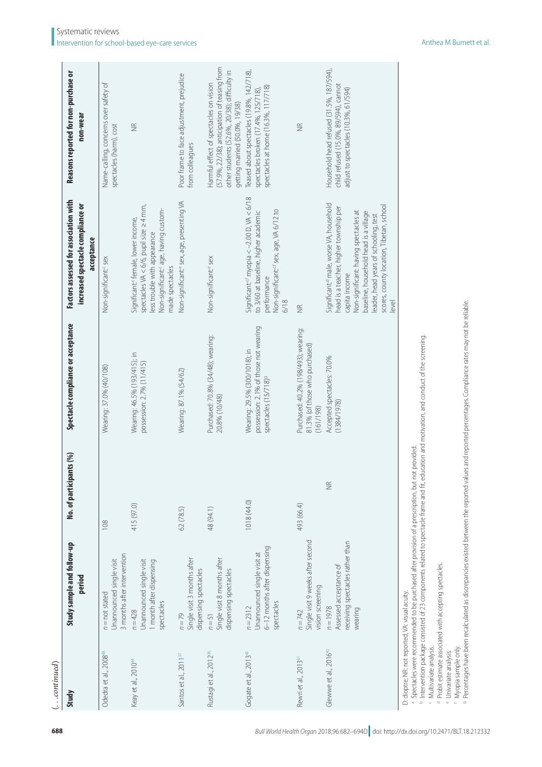| $\ldots$ continued)                              |                                                                                         |                         |                                                                                                            |                                                                                                                                                                                                                                                                                                |                                                                                                                                                                          |
|--------------------------------------------------|-----------------------------------------------------------------------------------------|-------------------------|------------------------------------------------------------------------------------------------------------|------------------------------------------------------------------------------------------------------------------------------------------------------------------------------------------------------------------------------------------------------------------------------------------------|--------------------------------------------------------------------------------------------------------------------------------------------------------------------------|
| Study                                            | Study sample and follow-up<br>period                                                    | No. of participants (%) | Spectacle compliance or acceptance                                                                         | Factors assessed for association with<br>increased spectacle compliance or<br>acceptance                                                                                                                                                                                                       | Reasons reported for non-purchase or<br>non-wear                                                                                                                         |
| Odedra et al., 2008 <sup>48</sup>                | 3 months after intervention<br>Unannounced single visit<br>$n = not stated$             | 108                     | Wearing: 37.0% (40/108)                                                                                    | Non-significant: sex                                                                                                                                                                                                                                                                           | Name-calling, concerns over safety of<br>spectacles (harm), cost                                                                                                         |
| Keay et al., 2010 <sup>44</sup>                  | Unannounced single visit<br>1 month after dispensing<br>spectacles<br>$n = 428$         | 415 (97.0)              | Wearing: 46.5% (193/415); in<br>possession: 2.7% (11/415)                                                  | spectacles VA < 6/6, pupil size ≥ 4 mm,<br>Non-significant: age, having custom-<br>Significant: female, lower income,<br>less trouble with appearance<br>made spectacles                                                                                                                       | $\frac{\alpha}{2}$                                                                                                                                                       |
| Santos et al., 2011 <sup>37</sup>                | Single visit 3 months after<br>dispensing spectacles<br>$n = 79$                        | 62 (78.5)               | Wearing: 87.1% (54/62)                                                                                     | Non-significant: sex, age, presenting VA                                                                                                                                                                                                                                                       | Poor frame to face adjustment, prejudice<br>from colleagues                                                                                                              |
| Rustagi et al., 2012 <sup>36</sup>               | Single visit 8 months after<br>dispensing spectacles<br>$n = 51$                        | 48 (94.1)               | Purchased: 70.8% (34/48); wearing:<br>20.8% (10/48)                                                        | Non-significant: <sup>e</sup> sex                                                                                                                                                                                                                                                              | (57.9%, 22/38); anticipation of teasing from<br>other students (52.6%, 20/38); difficulty in<br>Harmful effect of spectacles on vision<br>getting married (50.0%, 19/38) |
| Gogate et al., 2013 <sup>43</sup>                | 6-12 months after dispensing<br>Unannounced single visit at<br>spectacles<br>$n = 2312$ | 1018 (44.0)             | possession: 2.1% of those not wearing<br>Wearing: 29.5% (300/1018); in<br>spectacles (15/718) <sup>9</sup> | Significant: <sup>cr</sup> myopia < −2.00 D, VA < 6/18<br>Non-significant: <sup>cf</sup> sex, age, VA 6/12 to<br>to 3/60 at baseline, higher academic<br>performance<br>6/18                                                                                                                   | Teased about spectacles (19.8%, 142/718),<br>spectacles at home (16.3%, 117/718)<br>spectacles broken (17.4%, 125/718)                                                   |
| Rewri et al., 2013 <sup>61</sup>                 | Single visit 9 weeks after second<br>vision screening<br>$n = 742$                      | 493 (66.4)              | Purchased: 40.2% (198/493); wearing:<br>81.3% (of those who purchased)<br>(161/198)                        | $\widetilde{\Xi}$                                                                                                                                                                                                                                                                              | $\frac{\alpha}{2}$                                                                                                                                                       |
| Glewwe et al., $201642$                          | receiving spectacles rather than<br>Assessed acceptance of<br>$n = 1978$<br>wearing     | $\frac{\alpha}{2}$      | Accepted spectacles: 70.0%<br>(1384/1978)                                                                  | Significant: <sup>d</sup> male, worse VA, household<br>scores, county location, Tibetan, school<br>head is a teacher, higher township per<br>Non-significant: having spectacles at<br>baseline, household head is a village<br>leader, head years of schooling, test<br>capita income<br>level | Household head refused (31.5%, 187/594),<br>child refused (15.0%, 89/594), cannot<br>adjust to spectacles (10.3%, 61/594)                                                |
| D: dioptre; NR: not reported; VA: visual acuity. |                                                                                         |                         |                                                                                                            |                                                                                                                                                                                                                                                                                                |                                                                                                                                                                          |

a Spectacles were recommended to be purchased after provision of a prescription, but not provided.

a Spectacles were recommended to be purchased after provision of a prescription, but not provided.<br><sup>Is</sup> Intervention package consisted of 23 components related to spectacle frame and fit, education and motivation, and cond

 $\,$  Intervention package consisted of 23 components related to spectacle frame and fit, education and motivation, and conduct of the screening.

<sup>c</sup> Multivariate analysis.<br><sup>d P</sup>robit estimate associated with accepting spectacles.

< Multivariate analysis.<br><sup>4</sup> Probit estimate associated with accepting spectacles.<br><sup>e</sup> Univariate analysis.<br><sup>1</sup> Myopia sample only.<br><sup>9</sup> Percentages have been recalculated as discrepancies existed between the reported value e Univariate analysis.<br>f Myopia sample only.<br>a Percentages have been recalculated as discrepancies existed between the reported values and reported percentages. Compliance rates may not be reliable.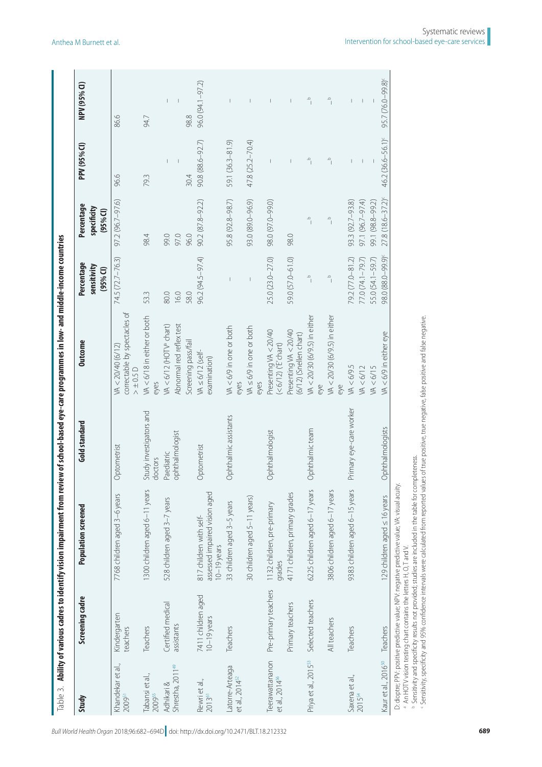| Study                                         | Screening cadre                     | <b>Population screened</b>                                                | Gold standard                      | <b>Outcome</b>                                                     | Percentage<br>sensitivity<br>$(95%$ CI)                  | Percentage<br>specificity<br>$(95%$ CI)                  | PPV (95% CI)                                                  | NPV (95% CI)                          |
|-----------------------------------------------|-------------------------------------|---------------------------------------------------------------------------|------------------------------------|--------------------------------------------------------------------|----------------------------------------------------------|----------------------------------------------------------|---------------------------------------------------------------|---------------------------------------|
| Khandekar et al.,<br>200951                   | Kindergarten<br>teachers            | 7768 children aged 3-6 years                                              | Optometrist                        | correctable by spectacles of<br>VA < 20/40 (6/12)<br>$> \pm 0.5$ D | 74.5 (72.7 - 76.3)                                       | 97.2 (96.7-97.6)                                         | 96.6                                                          | 86.6                                  |
| Tabansi et al.,<br>2009 <sup>55</sup>         | Teachers                            | 1300 children aged 6-11 years                                             | Study investigators and<br>doctors | VA < 6/18 in either or both<br>eyes                                | 53.3                                                     | 98.4                                                     | 79.3                                                          | 94.7                                  |
| Shrestha, 2011 <sup>49</sup><br>Adhikari &    | Certified medical                   | 528 children aged 3-7 years                                               | Paediatric                         | VA < 6/12 (HOTV <sup>a</sup> chart)                                | 80.0                                                     | 99.0                                                     | $\overline{\phantom{a}}$                                      | $\mathbf{I}$                          |
|                                               | assistants                          |                                                                           | ophthalmologist                    | Abnormal red reflex test<br>Screening pass/fail                    | 16.0<br>58.0                                             | 97.0<br>96.0                                             | 30.4                                                          | 98.8                                  |
| Rewrietal.,<br>201361                         | 7411 children aged<br>$10-19$ years | assessed impaired vision aged<br>817 children with self-<br>$10-19$ years | Optometrist                        | $WA \le 6/12$ (self-<br>examination)                               | 96.2 (94.5-97.4)                                         | 90.2 (87.8-92.2)                                         | 90.8 (88.6-92.7)                                              | 96.0 (94.1-97.2)                      |
| atorre-Arteaga<br>et al., 2014 <sup>52</sup>  | Teachers                            | 33 children aged 3-5 years                                                | Ophthalmic assistants              | VA <6/9 in one or both<br>eyes                                     |                                                          | 95.8 (92.8-98.7)                                         | 59.1 (36.3-81.9)                                              |                                       |
|                                               |                                     | 30 children aged 5-11 years)                                              |                                    | VA ≤6/9 in one or both<br>eyes                                     |                                                          | 93.0 (89.0-96.9)                                         | 47.8 (25.2–70.4)                                              | $\overline{\phantom{a}}$              |
| Teerawattananon<br>et al., 2014 <sup>56</sup> | Pre-primary teachers                | 1132 children, pre-primary<br>qrades                                      | Ophthalmologist                    | Presenting VA < 20/40<br>(< 6/12) ('E' chart)                      | 25.0 (23.0-27.0)                                         | 98.0 (97.0-99.0)                                         |                                                               | T                                     |
|                                               | Primary teachers                    | 4171 children, primary grades                                             |                                    | Presenting VA < 20/40<br>(6/12) (Snellen chart)                    | 59.0 (57.0-61.0)                                         | 98.0                                                     |                                                               | $\begin{array}{c} \hline \end{array}$ |
| Priya et al., 2015 <sup>53</sup>              | Selected teachers                   | 6225 children aged 6-17 years                                             | Ophthalmic team                    | VA < 20/30 (6/9.5) in either<br>eye                                | $\frac{a}{\sqrt{a}}$                                     | $\frac{a}{\sqrt{2}}$                                     | $\circ$                                                       | $\frac{a}{\sqrt{2}}$                  |
|                                               | All teachers                        | 3806 children aged 6-17 years                                             |                                    | VA < 20/30 (6/9.5) in either<br>eye                                | $\alpha$                                                 | $\alpha$                                                 | $\mathrel{\scriptstyle\triangle}$<br>$\overline{\phantom{a}}$ | $\overline{\phantom{a}}_l$            |
| Saxena et al.,<br>201554                      | Teachers                            | 9383 children aged 6-15 years                                             | Primary eye-care worker            | VA < 6/9.5<br>WA < 6/15<br>$\n  <6/12\n$                           | 79.2 (77.0-81.2)<br>77.0 (74.1–79.7)<br>55.0 (54.1-59.7) | 97.1 (96.7-97.4)<br>99.1 (98.8-99.2)<br>93.3 (92.7-93.8) |                                                               | $\overline{\phantom{a}}$              |
| <aur 2016<sup="" al.,="" et="">50</aur>       | Teachers                            | 129 children aged ≤ 16 years                                              | Ophthalmologists                   | $WA < 6/9$ in either eve                                           | 98.0 (88.0-99.9)                                         | 27.8 (18.6-37.2)                                         | 46.2 (36.6-56.1) <sup>c</sup>                                 | 95.7 (76.0–99.8)                      |

 $\sim$  10  $\pm$ 

 $\mathbb{R}^n$ 

 $\overline{1}$ 

<span id="page-7-0"></span>*Bull World Health Organ* 2018;96:682–694D| doi: http://dx.doi.org/10.2471/BLT.18.212332 **<sup>689</sup>**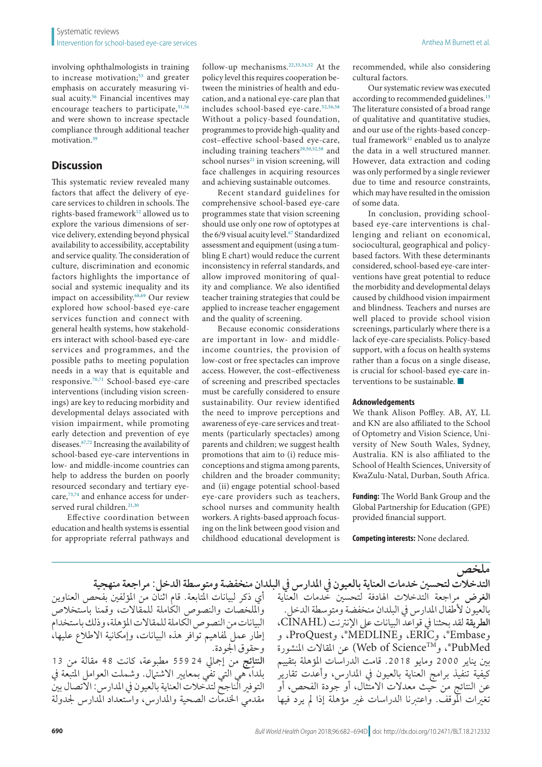involving ophthalmologists in training to increase motivation;<sup>53</sup> and greater emphasis on accurately measuring vi-sual acuity.<sup>[56](#page-12-4)</sup> Financial incentives may encourage teachers to participate, <sup>51[,56](#page-12-4)</sup> and were shown to increase spectacle compliance through additional teacher motivation.<sup>[39](#page-11-25)</sup>

# **Discussion**

This systematic review revealed many factors that affect the delivery of eyecare services to children in schools. The rights-based framework<sup>12</sup> allowed us to explore the various dimensions of service delivery, extending beyond physical availability to accessibility, acceptability and service quality. The consideration of culture, discrimination and economic factors highlights the importance of social and systemic inequality and its impact on accessibility.[68](#page-12-16),[69](#page-12-17) Our review explored how school-based eye-care services function and connect with general health systems, how stakeholders interact with school-based eye-care services and programmes, and the possible paths to meeting population needs in a way that is equitable and responsive.[70](#page-12-18),[71](#page-12-19) School-based eye-care interventions (including vision screenings) are key to reducing morbidity and developmental delays associated with vision impairment, while promoting early detection and prevention of eye diseases[.67,](#page-12-8)[72](#page-12-20) Increasing the availability of school-based eye-care interventions in low- and middle-income countries can help to address the burden on poorly resourced secondary and tertiary eyecare,[73](#page-12-21),[74](#page-12-22) and enhance access for under-served rural children.<sup>[21](#page-11-22)[,30](#page-11-21)</sup>

Effective coordination between education and health systems is essential for appropriate referral pathways and

follow-up mechanisms.[22](#page-11-12)[,33](#page-11-5)[,34](#page-11-6)[,52](#page-12-10) At the policy level this requires cooperation between the ministries of health and education, and a national eye-care plan that includes school-based eye-care.[52](#page-12-10),[56](#page-12-4),[58](#page-12-13) Without a policy-based foundation, programmes to provide high-quality and cost–effective school-based eye-care, including training teachers<sup>29[,50,](#page-11-23)[52,](#page-12-10)[58](#page-12-13)</sup> and school nurses $21$  in vision screening, will face challenges in acquiring resources and achieving sustainable outcomes.

Recent standard guidelines for comprehensive school-based eye-care programmes state that vision screening should use only one row of optotypes at the 6/9 visual acuity level.<sup>[67](#page-12-8)</sup> Standardized assessment and equipment (using a tumbling E chart) would reduce the current inconsistency in referral standards, and allow improved monitoring of quality and compliance. We also identified teacher training strategies that could be applied to increase teacher engagement and the quality of screening.

Because economic considerations are important in low- and middleincome countries, the provision of low-cost or free spectacles can improve access. However, the cost–effectiveness of screening and prescribed spectacles must be carefully considered to ensure sustainability. Our review identified the need to improve perceptions and awareness of eye-care services and treatments (particularly spectacles) among parents and children; we suggest health promotions that aim to (i) reduce misconceptions and stigma among parents, children and the broader community; and (ii) engage potential school-based eye-care providers such as teachers, school nurses and community health workers. A rights-based approach focusing on the link between good vision and childhood educational development is

recommended, while also considering cultural factors.

Our systematic review was executed according to recommended guidelines.<sup>13</sup> The literature consisted of a broad range of qualitative and quantitative studies, and our use of the rights-based conceptual framework<sup>12</sup> enabled us to analyze the data in a well structured manner. However, data extraction and coding was only performed by a single reviewer due to time and resource constraints, which may have resulted in the omission of some data.

In conclusion, providing schoolbased eye-care interventions is challenging and reliant on economical, sociocultural, geographical and policybased factors. With these determinants considered, school-based eye-care interventions have great potential to reduce the morbidity and developmental delays caused by childhood vision impairment and blindness. Teachers and nurses are well placed to provide school vision screenings, particularly where there is a lack of eye-care specialists. Policy-based support, with a focus on health systems rather than a focus on a single disease, is crucial for school-based eye-care interventions to be sustainable. ■

#### **Acknowledgements**

We thank Alison Poffley. AB, AY, LL and KN are also affiliated to the School of Optometry and Vision Science, University of New South Wales, Sydney, Australia. KN is also affiliated to the School of Health Sciences, University of KwaZulu-Natal, Durban, South Africa.

**Funding:** The World Bank Group and the Global Partnership for Education (GPE) provided financial support.

**Competing interests:** None declared.

### **ملخص**

أي ذكر لبيانات املتابعة. قام اثنان من املؤلفني بفحص العناوين وامللخصات والنصوص الكاملة للمقاالت، وقمنا باستخالص البيانات من النصوص الكاملة للمقاالت املؤهلة، وذلك باستخدام إطار عمل ملفاهيم توافر هذه البيانات، وإمكانية االطالع عليها، وحقوق اجلودة. **النتائج** من إمجايل 55924 مطبوعة، كانت 48 مقالة من 13 بلداً، هي التي تفي بمعايير الاشتهال. وشملت العوامل المتبعة في التوفري الناجح لتدخالت العناية بالعيون يف املدارس: االتصال بني مقدمي اخلدمات الصحية واملدارس، واستعداد املدارس جلدولة

**التدخالت لتحسني خدمات العناية بالعيون يف املدارس يف البلدان منخفضة ومتوسطة الدخل: مراجعة منهجية الغرض** مراجعة التدخالت اهلادفة لتحسني خدمات العناية بالعيون لأطفال المدارس في البلدان منخفضة ومتوسطة الدخل. **الطريقة** لقد بحثنا يف قواعد البيانات عىل اإلنرتنت )CINAHL، وEmbase®، وERIC، وMEDLINE®، وProQuest، و PubMed®، وWeb of Science™، عن المقالات المنشورة بني يناير 2000 ومايو .2018 قامت الدراسات املؤهلة بتقييم كيفية تنفيذ برامج العناية بالعيون يف املدارس، وأعدت تقارير عن النتائج من حيث معدالت االمتثال، أو جودة الفحص، أو تغريات املوقف. واعتربنا الدراسات غري مؤهلة إذا مل يرد فيها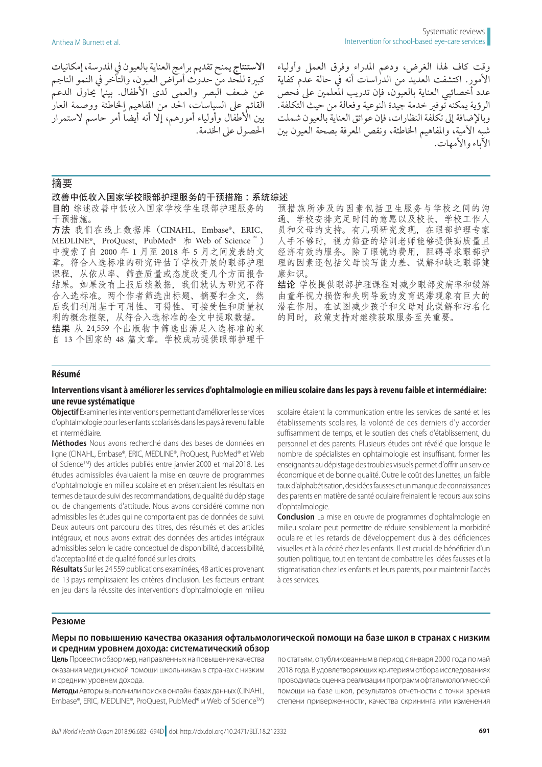**االستنتاج** يمنح تقديم برامج العناية بالعيون يف املدرسة، إمكانيات كبرية للحد من حدوث أمراض العيون، والتأخر يف النمو الناجم .<br>عن ضعف البصر والعمى لدى الأطفال. بينا يحاول الدعم القائم عىل السياسات، احلد من املفاهيم اخلاطئة ووصمة العار بين الأطفال وأولياء أمورهم، إلا أنه أيضًا أمر حاسم لاستمرار احلصول عىل اخلدمة.

وقت كاف هلذا الغرض، ودعم املدراء وفرق العمل وأولياء األمور. اكتشفت العديد من الدراسات أنه يف حالة عدم كفاية عدد أخصائيي العناية بالعيون، فإن تدريب المعلمين على فحص الرؤية يمكنه توفري خدمة جيدة النوعية وفعالة من حيث التكلفة. وباإلضافة إىل تكلفة النظارات، فإن عوائق العناية بالعيون شملت شبه الأمية، والمفاهيم الخاطئة، ونقص المعرفة بصحة العيون بين اآلباء واألمهات.

# 摘要

#### 改善中低收入国家学校眼部护理服务的干预措施 :系统综述

目的 综述改善中低收入国家学校学生眼部护理服务的

干预措施。 方法 我们在线上数据库(CINAHL、Embase®、ERIC、 MEDLINE<sup>®</sup>、ProQuest、PubMed<sup>®</sup> 和 Web of Science<sup>™</sup>) 中搜索了自 2000 年 1 月至 2018 年 5 月之间发表的文 章。符合入选标准的研究评估了学校开展的眼部护理 课程,从依从率、筛查质量或态度改变几个方面报告 结果。如果没有上报后续数据,我们就认为研究不符 合入选标准。两个作者筛选出标题、摘要和全文,然 后我们利用基于可用性、可得性、可接受性和质量权 利的概念框架,从符合入选标准的全文中提取数据。 结果 从 24,559 个出版物中筛选出满足入选标准的来 自 13 个国家的 48 篇文章。学校成功提供眼部护理干

预措施所涉及的因素包括卫生服务与学校之间的沟 通、学校安排充足时间的意愿以及校长、学校工作人 员和父母的支持。有几项研究发现,在眼部护理专家 人手不够时,视力筛查的培训老师能够提供高质量且 经济有效的服务。除了眼镜的费用,阻碍寻求眼部护 理的因素还包括父母读写能力差、误解和缺乏眼部健 康知识。

结论 学校提供眼部护理课程对减少眼部发病率和缓解 由童年视力损伤和失明导致的发育迟滞现象有巨大的 潜在作用。在试图减少孩子和父母对此误解和污名化 的同时,政策支持对继续获取服务至关重要。

# **Résumé**

# **Interventions visant à améliorer les services d'ophtalmologie en milieu scolaire dans les pays à revenu faible et intermédiaire: une revue systématique**

**Objectif** Examiner les interventions permettant d'améliorer les services d'ophtalmologie pour les enfants scolarisés dans les pays à revenu faible et intermédiaire.

**Méthodes** Nous avons recherché dans des bases de données en ligne (CINAHL, Embase®, ERIC, MEDLINE®, ProQuest, PubMed® et Web of ScienceTM) des articles publiés entre janvier 2000 et mai 2018. Les études admissibles évaluaient la mise en œuvre de programmes d'ophtalmologie en milieu scolaire et en présentaient les résultats en termes de taux de suivi des recommandations, de qualité du dépistage ou de changements d'attitude. Nous avons considéré comme non admissibles les études qui ne comportaient pas de données de suivi. Deux auteurs ont parcouru des titres, des résumés et des articles intégraux, et nous avons extrait des données des articles intégraux admissibles selon le cadre conceptuel de disponibilité, d'accessibilité, d'acceptabilité et de qualité fondé sur les droits.

**Résultats** Sur les 24559 publications examinées, 48 articles provenant de 13 pays remplissaient les critères d'inclusion. Les facteurs entrant en jeu dans la réussite des interventions d'ophtalmologie en milieu scolaire étaient la communication entre les services de santé et les établissements scolaires, la volonté de ces derniers d'y accorder suffisamment de temps, et le soutien des chefs d'établissement, du personnel et des parents. Plusieurs études ont révélé que lorsque le nombre de spécialistes en ophtalmologie est insuffisant, former les enseignants au dépistage des troubles visuels permet d'offrir un service économique et de bonne qualité. Outre le coût des lunettes, un faible taux d'alphabétisation, des idées fausses et un manque de connaissances des parents en matière de santé oculaire freinaient le recours aux soins d'ophtalmologie.

**Conclusion** La mise en œuvre de programmes d'ophtalmologie en milieu scolaire peut permettre de réduire sensiblement la morbidité oculaire et les retards de développement dus à des déficiences visuelles et à la cécité chez les enfants. Il est crucial de bénéficier d'un soutien politique, tout en tentant de combattre les idées fausses et la stigmatisation chez les enfants et leurs parents, pour maintenir l'accès à ces services.

### **Резюме**

# **Меры по повышению качества оказания офтальмологической помощи на базе школ в странах с низким и средним уровнем дохода: систематический обзор**

**Цель** Провести обзор мер, направленных на повышение качества оказания медицинской помощи школьникам в странах с низким и средним уровнем дохода.

**Методы** Авторы выполнили поиск в онлайн-базах данных (CINAHL, Embase®, ERIC, MEDLINE®, ProQuest, PubMed® и Web of ScienceTM) по статьям, опубликованным в период с января 2000 года по май 2018 года. В удовлетворяющих критериям отбора исследованиях проводилась оценка реализации программ офтальмологической помощи на базе школ, результатов отчетности с точки зрения степени приверженности, качества скрининга или изменения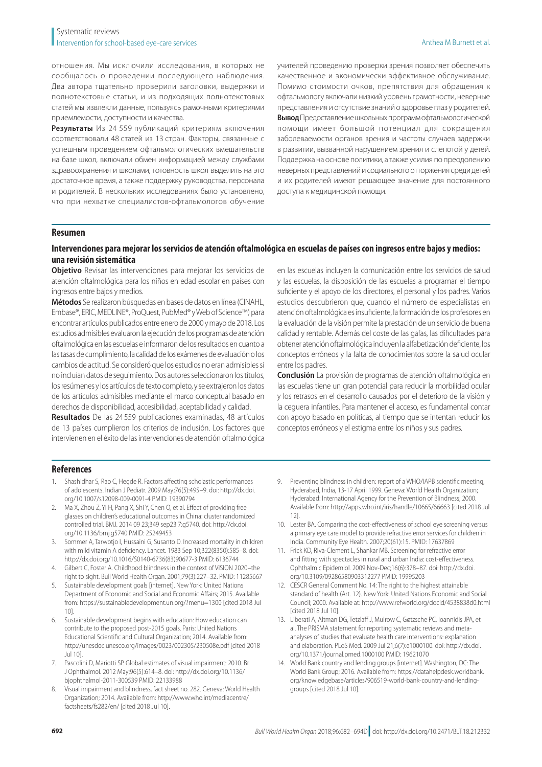отношения. Мы исключили исследования, в которых не сообщалось о проведении последующего наблюдения. Два автора тщательно проверили заголовки, выдержки и полнотекстовые статьи, и из подходящих полнотекстовых статей мы извлекли данные, пользуясь рамочными критериями приемлемости, доступности и качества.

**Результаты** Из 24 559 публикаций критериям включения соответствовали 48 статей из 13 стран. Факторы, связанные с успешным проведением офтальмологических вмешательств на базе школ, включали обмен информацией между службами здравоохранения и школами, готовность школ выделить на это достаточное время, а также поддержку руководства, персонала и родителей. В нескольких исследованиях было установлено, что при нехватке специалистов-офтальмологов обучение учителей проведению проверки зрения позволяет обеспечить качественное и экономически эффективное обслуживание. Помимо стоимости очков, препятствия для обращения к офтальмологу включали низкий уровень грамотности, неверные представления и отсутствие знаний о здоровье глаз у родителей. **Вывод** Предоставление школьных программ офтальмологической помощи имеет большой потенциал для сокращения заболеваемости органов зрения и частоты случаев задержки в развитии, вызванной нарушением зрения и слепотой у детей. Поддержка на основе политики, а также усилия по преодолению неверных представлений и социального отторжения среди детей и их родителей имеют решающее значение для постоянного доступа к медицинской помощи.

#### **Resumen**

# **Intervenciones para mejorar los servicios de atención oftalmológica en escuelas de países con ingresos entre bajos y medios: una revisión sistemática**

**Objetivo** Revisar las intervenciones para mejorar los servicios de atención oftalmológica para los niños en edad escolar en países con ingresos entre bajos y medios.

**Métodos** Se realizaron búsquedas en bases de datos en línea (CINAHL, Embase®, ERIC, MEDLINE®, ProQuest, PubMed® y Web of ScienceTM) para encontrar artículos publicados entre enero de 2000 y mayo de 2018. Los estudios admisibles evaluaron la ejecución de los programas de atención oftalmológica en las escuelas e informaron de los resultados en cuanto a las tasas de cumplimiento, la calidad de los exámenes de evaluación o los cambios de actitud. Se consideró que los estudios no eran admisibles si no incluían datos de seguimiento. Dos autores seleccionaron los títulos, los resúmenes y los artículos de texto completo, y se extrajeron los datos de los artículos admisibles mediante el marco conceptual basado en derechos de disponibilidad, accesibilidad, aceptabilidad y calidad.

**Resultados** De las 24 559 publicaciones examinadas, 48 artículos de 13 países cumplieron los criterios de inclusión. Los factores que intervienen en el éxito de las intervenciones de atención oftalmológica

en las escuelas incluyen la comunicación entre los servicios de salud y las escuelas, la disposición de las escuelas a programar el tiempo suficiente y el apoyo de los directores, el personal y los padres. Varios estudios descubrieron que, cuando el número de especialistas en atención oftalmológica es insuficiente, la formación de los profesores en la evaluación de la visión permite la prestación de un servicio de buena calidad y rentable. Además del coste de las gafas, las dificultades para obtener atención oftalmológica incluyen la alfabetización deficiente, los conceptos erróneos y la falta de conocimientos sobre la salud ocular entre los padres.

**Conclusión** La provisión de programas de atención oftalmológica en las escuelas tiene un gran potencial para reducir la morbilidad ocular y los retrasos en el desarrollo causados por el deterioro de la visión y la ceguera infantiles. Para mantener el acceso, es fundamental contar con apoyo basado en políticas, al tiempo que se intentan reducir los conceptos erróneos y el estigma entre los niños y sus padres.

### **References**

- <span id="page-10-0"></span>1. Shashidhar S, Rao C, Hegde R. Factors affecting scholastic performances of adolescents. Indian J Pediatr. 2009 May;76(5):495–9. doi: [http://dx.doi.](http://dx.doi.org/10.1007/s12098-009-0091-4) [org/10.1007/s12098-009-0091-4](http://dx.doi.org/10.1007/s12098-009-0091-4) PMID: [19390794](http://www.ncbi.nlm.nih.gov/pubmed/19390794)
- 2. Ma X, Zhou Z, Yi H, Pang X, Shi Y, Chen Q, et al. Effect of providing free glasses on children's educational outcomes in China: cluster randomized controlled trial. BMJ. 2014 09 23;349 sep23 7:g5740. doi: [http://dx.doi.](http://dx.doi.org/10.1136/bmj.g5740) [org/10.1136/bmj.g5740](http://dx.doi.org/10.1136/bmj.g5740) PMID: [25249453](http://www.ncbi.nlm.nih.gov/pubmed/25249453)
- 3. Sommer A, Tarwotjo I, Hussaini G, Susanto D. Increased mortality in children with mild vitamin A deficiency. Lancet. 1983 Sep 10;322(8350):585–8. doi: [http://dx.doi.org/10.1016/S0140-6736\(83\)90677-3](http://dx.doi.org/10.1016/S0140-6736(83)90677-3) PMID: [6136744](http://www.ncbi.nlm.nih.gov/pubmed/6136744)
- <span id="page-10-1"></span>4. Gilbert C, Foster A. Childhood blindness in the context of VISION 2020–the right to sight. Bull World Health Organ. 2001;79(3):227–32. PMID: [11285667](http://www.ncbi.nlm.nih.gov/pubmed/11285667)
- <span id="page-10-2"></span>5. Sustainable development goals [internet]. New York: United Nations Department of Economic and Social and Economic Affairs; 2015. Available from: <https://sustainabledevelopment.un.org/?menu=1300> [cited 2018 Jul 10].
- <span id="page-10-3"></span>6. Sustainable development begins with education: How education can contribute to the proposed post-2015 goals. Paris: United Nations Educational Scientific and Cultural Organization; 2014. Available from: <http://unesdoc.unesco.org/images/0023/002305/230508e.pdf>[cited 2018 Jul 10].
- <span id="page-10-4"></span>7. Pascolini D, Mariotti SP. Global estimates of visual impairment: 2010. Br J Ophthalmol. 2012 May;96(5):614–8. doi: [http://dx.doi.org/10.1136/](http://dx.doi.org/10.1136/bjophthalmol-2011-300539) [bjophthalmol-2011-300539](http://dx.doi.org/10.1136/bjophthalmol-2011-300539) PMID: [22133988](http://www.ncbi.nlm.nih.gov/pubmed/22133988)
- <span id="page-10-5"></span>8. Visual impairment and blindness, fact sheet no. 282. Geneva: World Health Organization; 2014. Available from: [http://www.who.int/mediacentre/](http://www.who.int/mediacentre/factsheets/fs282/en/) [factsheets/fs282/en/](http://www.who.int/mediacentre/factsheets/fs282/en/) [cited 2018 Jul 10].
- <span id="page-10-6"></span>9. Preventing blindness in children: report of a WHO/IAPB scientific meeting, Hyderabad, India, 13-17 April 1999. Geneva: World Health Organization; Hyderabad: International Agency for the Prevention of Blindness; 2000. Available from: <http://apps.who.int/iris/handle/10665/66663> [cited 2018 Jul 12].
- <span id="page-10-7"></span>10. Lester BA. Comparing the cost-effectiveness of school eye screening versus a primary eye care model to provide refractive error services for children in India. Community Eye Health. 2007;20(61):15. PMID: [17637869](http://www.ncbi.nlm.nih.gov/pubmed/17637869)
- <span id="page-10-8"></span>11. Frick KD, Riva-Clement L, Shankar MB. Screening for refractive error and fitting with spectacles in rural and urban India: cost-effectiveness. Ophthalmic Epidemiol. 2009 Nov-Dec;16(6):378–87. doi: [http://dx.doi.](http://dx.doi.org/10.3109/09286580903312277) [org/10.3109/09286580903312277](http://dx.doi.org/10.3109/09286580903312277) PMID: [19995203](http://www.ncbi.nlm.nih.gov/pubmed/19995203)
- <span id="page-10-9"></span>12. CESCR General Comment No. 14: The right to the highest attainable standard of health (Art. 12). New York: United Nations Economic and Social Council; 2000. Available at:<http://www.refworld.org/docid/4538838d0.html> [cited 2018 Jul 10].
- <span id="page-10-10"></span>13. Liberati A, Altman DG, Tetzlaff J, Mulrow C, Gøtzsche PC, Ioannidis JPA, et al. The PRISMA statement for reporting systematic reviews and metaanalyses of studies that evaluate health care interventions: explanation and elaboration. PLoS Med. 2009 Jul 21;6(7):e1000100. doi: [http://dx.doi.](http://dx.doi.org/10.1371/journal.pmed.1000100) [org/10.1371/journal.pmed.1000100](http://dx.doi.org/10.1371/journal.pmed.1000100) PMID: [19621070](http://www.ncbi.nlm.nih.gov/pubmed/19621070)
- <span id="page-10-11"></span>14. World Bank country and lending groups [internet]. Washington, DC: The World Bank Group; 2016. Available from: [https://datahelpdesk.worldbank.](https://datahelpdesk.worldbank.org/knowledgebase/articles/906519-world-bank-country-and-lending-groups) [org/knowledgebase/articles/906519-world-bank-country-and-lending](https://datahelpdesk.worldbank.org/knowledgebase/articles/906519-world-bank-country-and-lending-groups)[groups](https://datahelpdesk.worldbank.org/knowledgebase/articles/906519-world-bank-country-and-lending-groups) [cited 2018 Jul 10].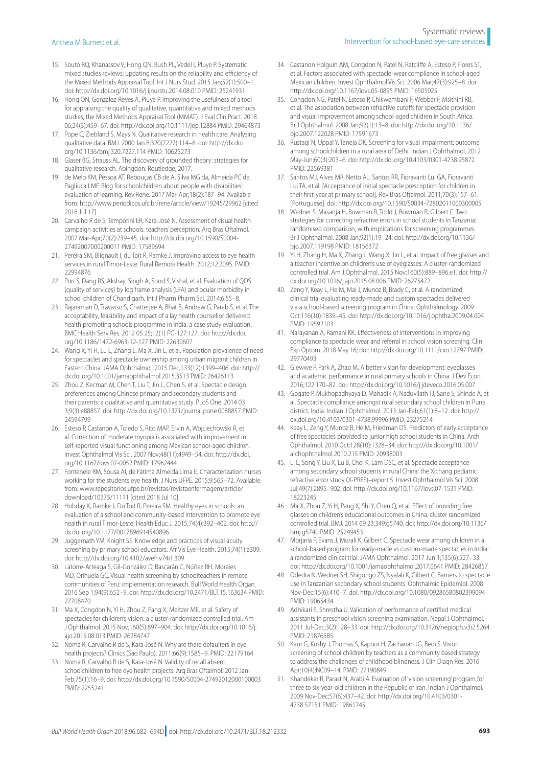- <span id="page-11-0"></span>15. Souto RQ, Khanassov V, Hong QN, Bush PL, Vedel I, Pluye P. Systematic mixed studies reviews: updating results on the reliability and efficiency of the Mixed Methods Appraisal Tool. Int J Nurs Stud. 2015 Jan;52(1):500–1. doi:<http://dx.doi.org/10.1016/j.ijnurstu.2014.08.010>PMID: [25241931](http://www.ncbi.nlm.nih.gov/pubmed/25241931)
- <span id="page-11-1"></span>16. Hong QN, Gonzalez-Reyes A, Pluye P. Improving the usefulness of a tool for appraising the quality of qualitative, quantitative and mixed methods studies, the Mixed Methods Appraisal Tool (MMAT). J Eval Clin Pract. 2018 06;24(3):459–67. doi: <http://dx.doi.org/10.1111/jep.12884> PMID: [29464873](http://www.ncbi.nlm.nih.gov/pubmed/29464873)
- <span id="page-11-2"></span>17. Pope C, Ziebland S, Mays N. Qualitative research in health care. Analysing qualitative data. BMJ. 2000 Jan 8;320(7227):114–6. doi: [http://dx.doi.](http://dx.doi.org/10.1136/bmj.320.7227.114) [org/10.1136/bmj.320.7227.114](http://dx.doi.org/10.1136/bmj.320.7227.114) PMID: [10625273](http://www.ncbi.nlm.nih.gov/pubmed/10625273)
- <span id="page-11-3"></span>18. Glaser BG, Strauss AL. The discovery of grounded theory: strategies for qualitative research. Abingdon: Routledge; 2017.
- <span id="page-11-4"></span>19. de Melo KM, Pessoa AT, Rebouças CB de A, Silva MG da, Almeida PC de, Pagliuca LMF. Blog for schoolchildren about people with disabilities: evaluation of learning. Rev Rene. 2017 Mar-Apr;18(2):187–94. Available from[:](http://) <http://www.periodicos.ufc.br/rene/article/view/19245/29962> [cited 2018 Jul 17].
- <span id="page-11-11"></span>20. Carvalho R de S, Temporini ER, Kara-José N. Assessment of visual health campaign activities at schools: teachers' perception. Arq Bras Oftalmol. 2007 Mar-Apr;70(2):239–45. doi: [http://dx.doi.org/10.1590/S0004-](http://dx.doi.org/10.1590/S0004-27492007000200011) [27492007000200011](http://dx.doi.org/10.1590/S0004-27492007000200011) PMID: [17589694](http://www.ncbi.nlm.nih.gov/pubmed/17589694)
- <span id="page-11-22"></span>21. Pereira SM, Blignault I, du Toit R, Ramke J. Improving access to eye health services in rural Timor-Leste. Rural Remote Health. 2012;12:2095. PMID: [22994876](http://www.ncbi.nlm.nih.gov/pubmed/22994876)
- <span id="page-11-12"></span>22. Puri S, Dang RS, Akshay, Singh A, Sood S, Vishal, et al. Evaluation of QOS (quality of services) by log frame analysis (LFA) and ocular morbidity in school children of Chandigarh. Int J Pharm Pharm Sci. 2014;6:55–8.
- <span id="page-11-13"></span>23. Rajaraman D, Travasso S, Chatterjee A, Bhat B, Andrew G, Parab S, et al. The acceptability, feasibility and impact of a lay health counsellor delivered health promoting schools programme in India: a case study evaluation. BMC Health Serv Res. 2012 05 25;12(1) PG-127:127. doi: [http://dx.doi.](http://dx.doi.org/10.1186/1472-6963-12-127) [org/10.1186/1472-6963-12-127](http://dx.doi.org/10.1186/1472-6963-12-127) PMID: [22630607](http://www.ncbi.nlm.nih.gov/pubmed/22630607)
- <span id="page-11-24"></span>24. Wang X, Yi H, Lu L, Zhang L, Ma X, Jin L, et al. Population prevalence of need for spectacles and spectacle ownership among urban migrant children in Eastern China. JAMA Ophthalmol. 2015 Dec;133(12):1399–406. doi: [http://](http://dx.doi.org/10.1001/jamaophthalmol.2015.3513) [dx.doi.org/10.1001/jamaophthalmol.2015.3513](http://dx.doi.org/10.1001/jamaophthalmol.2015.3513) PMID: [26426113](http://www.ncbi.nlm.nih.gov/pubmed/26426113)
- <span id="page-11-35"></span>25. Zhou Z, Kecman M, Chen T, Liu T, Jin L, Chen S, et al. Spectacle design preferences among Chinese primary and secondary students and their parents: a qualitative and quantitative study. PLoS One. 2014 03 3;9(3):e88857. doi:<http://dx.doi.org/10.1371/journal.pone.0088857>PMID: [24594799](http://www.ncbi.nlm.nih.gov/pubmed/24594799)
- <span id="page-11-18"></span>26. Esteso P, Castanon A, Toledo S, Rito MAP, Ervin A, Wojciechowski R, et al. Correction of moderate myopia is associated with improvement in self-reported visual functioning among Mexican school-aged children. Invest Ophthalmol Vis Sci. 2007 Nov;48(11):4949–54. doi: [http://dx.doi.](http://dx.doi.org/10.1167/iovs.07-0052) [org/10.1167/iovs.07-0052](http://dx.doi.org/10.1167/iovs.07-0052) PMID: [17962444](http://www.ncbi.nlm.nih.gov/pubmed/17962444)
- <span id="page-11-9"></span>27. Fontenele RM, Sousa AI, de Fátima Almeida Lima E. Characterization nurses working for the students eye health. J Nurs UFPE. 2015;9:565–72. Available from: [www.repositorios.ufpe.br/revistas/revistaenfermagem/article/](http://www.repositorios.ufpe.br/revistas/revistaenfermagem/article/download/10373/11111) [download/10373/11111](http://www.repositorios.ufpe.br/revistas/revistaenfermagem/article/download/10373/11111) [cited 2018 Jul 10].
- <span id="page-11-20"></span>28. Hobday K, Ramke J, Du Toit R, Pereira SM. Healthy eyes in schools: an evaluation of a school and community-based intervention to promote eye health in rural Timor-Leste. Health Educ J. 2015;74(4):392–402. doi: [http://](http://dx.doi.org/10.1177/0017896914540896) [dx.doi.org/10.1177/0017896914540896](http://dx.doi.org/10.1177/0017896914540896)
- <span id="page-11-14"></span>29. Juggernath YM, Knight SE. Knowledge and practices of visual acuity screening by primary school educators. Afr Vis Eye Health. 2015;74(1):a309. doi:<http://dx.doi.org/10.4102/aveh.v74i1.309>
- <span id="page-11-21"></span>30. Latorre-Arteaga S, Gil-González D, Bascarán C, Núñez RH, Morales MD, Orihuela GC. Visual health screening by schoolteachers in remote communities of Peru: implementation research. Bull World Health Organ. 2016 Sep 1;94(9):652–9. doi:<http://dx.doi.org/10.2471/BLT.15.163634> PMID: [27708470](http://www.ncbi.nlm.nih.gov/pubmed/27708470)
- <span id="page-11-36"></span>31. Ma X, Congdon N, Yi H, Zhou Z, Pang X, Meltzer ME, et al. Safety of spectacles for children's vision: a cluster-randomized controlled trial. Am J Ophthalmol. 2015 Nov;160(5):897–904. doi: [http://dx.doi.org/10.1016/j.](http://dx.doi.org/10.1016/j.ajo.2015.08.013) [ajo.2015.08.013](http://dx.doi.org/10.1016/j.ajo.2015.08.013) PMID: [26284747](http://www.ncbi.nlm.nih.gov/pubmed/26284747)
- <span id="page-11-15"></span>32. Noma R, Carvalho R de S, Kara-José N. Why are there defaulters in eye health projects? Clinics (Sao Paulo). 2011;66(9):1585–9. PMID: [22179164](http://www.ncbi.nlm.nih.gov/pubmed/22179164)
- <span id="page-11-5"></span>33. Noma R, Carvalho R de S, Kara-José N. Validity of recall absent schoolchildren to free eye health projects. Arq Bras Oftalmol. 2012 Jan-Feb;75(1):16–9. doi:<http://dx.doi.org/10.1590/S0004-27492012000100003> PMID: [22552411](http://www.ncbi.nlm.nih.gov/pubmed/22552411)
- <span id="page-11-6"></span>34. Castanon Holguin AM, Congdon N, Patel N, Ratcliffe A, Esteso P, Flores ST, et al. Factors associated with spectacle-wear compliance in school-aged Mexican children. Invest Ophthalmol Vis Sci. 2006 Mar;47(3):925–8. doi: <http://dx.doi.org/10.1167/iovs.05-0895>PMID: [16505025](http://www.ncbi.nlm.nih.gov/pubmed/16505025)
- <span id="page-11-30"></span>35. Congdon NG, Patel N, Esteso P, Chikwembani F, Webber F, Msithini RB, et al. The association between refractive cutoffs for spectacle provision and visual improvement among school-aged children in South Africa. Br J Ophthalmol. 2008 Jan;92(1):13–8. doi: [http://dx.doi.org/10.1136/](http://dx.doi.org/10.1136/bjo.2007.122028) [bjo.2007.122028](http://dx.doi.org/10.1136/bjo.2007.122028) PMID: [17591673](http://www.ncbi.nlm.nih.gov/pubmed/17591673)
- <span id="page-11-33"></span>36. Rustagi N, Uppal Y, Taneja DK. Screening for visual impairment: outcome among schoolchildren in a rural area of Delhi. Indian J Ophthalmol. 2012 May-Jun;60(3):203–6. doi: <http://dx.doi.org/10.4103/0301-4738.95872> PMID: [22569381](http://www.ncbi.nlm.nih.gov/pubmed/22569381)
- <span id="page-11-10"></span>37. Santos MJ, Alves MR, Netto AL, Santos RR, Fioravanti Lui GA, Fioravanti Lui TA, et al. [Acceptance of initial spectacle prescription for children in their first-year at primary school]. Rev Bras Oftalmol. 2011;70(3):157–61. [Portuguese]. doi: <http://dx.doi.org/10.1590/S0034-72802011000300005>
- <span id="page-11-28"></span>38. Wedner S, Masanja H, Bowman R, Todd J, Bowman R, Gilbert C. Two strategies for correcting refractive errors in school students in Tanzania: randomised comparison, with implications for screening programmes. Br J Ophthalmol. 2008 Jan;92(1):19–24. doi: [http://dx.doi.org/10.1136/](http://dx.doi.org/10.1136/bjo.2007.119198) [bjo.2007.119198](http://dx.doi.org/10.1136/bjo.2007.119198) PMID: [18156372](http://www.ncbi.nlm.nih.gov/pubmed/18156372)
- <span id="page-11-25"></span>39. Yi H, Zhang H, Ma X, Zhang L, Wang X, Jin L, et al. Impact of free glasses and a teacher incentive on children's use of eyeglasses: A cluster-randomized controlled trial. Am J Ophthalmol. 2015 Nov;160(5):889–896.e1. doi: [http://](http://dx.doi.org/10.1016/j.ajo.2015.08.006) [dx.doi.org/10.1016/j.ajo.2015.08.006](http://dx.doi.org/10.1016/j.ajo.2015.08.006) PMID: [26275472](http://www.ncbi.nlm.nih.gov/pubmed/26275472)
- <span id="page-11-31"></span>40. Zeng Y, Keay L, He M, Mai J, Munoz B, Brady C, et al. A randomized, clinical trial evaluating ready-made and custom spectacles delivered via a school-based screening program in China. Ophthalmology. 2009 Oct;116(10):1839–45. doi: <http://dx.doi.org/10.1016/j.ophtha.2009.04.004> PMID: [19592103](http://www.ncbi.nlm.nih.gov/pubmed/19592103)
- <span id="page-11-16"></span>41. Narayanan A, Ramani KK. Effectiveness of interventions in improving compliance to spectacle wear and referral in school vision screening. Clin Exp Optom. 2018 May 16; doi:<http://dx.doi.org/10.1111/cxo.12797> PMID: [29770493](http://www.ncbi.nlm.nih.gov/pubmed/29770493)
- <span id="page-11-29"></span>42. Glewwe P, Park A, Zhao M. A better vision for development: eyeglasses and academic performance in rural primary schools in China. J Dev Econ. 2016;122:170–82. doi:<http://dx.doi.org/10.1016/j.jdeveco.2016.05.007>
- <span id="page-11-19"></span>43. Gogate P, Mukhopadhyaya D, Mahadik A, Naduvilath TJ, Sane S, Shinde A, et al. Spectacle compliance amongst rural secondary school children in Pune district, India. Indian J Ophthalmol. 2013 Jan-Feb;61(1):8–12. doi: [http://](http://dx.doi.org/10.4103/0301-4738.99996) [dx.doi.org/10.4103/0301-4738.99996](http://dx.doi.org/10.4103/0301-4738.99996) PMID: [23275214](http://www.ncbi.nlm.nih.gov/pubmed/23275214)
- <span id="page-11-34"></span>44. Keay L, Zeng Y, Munoz B, He M, Friedman DS. Predictors of early acceptance of free spectacles provided to junior high school students in China. Arch Ophthalmol. 2010 Oct;128(10):1328–34. doi: [http://dx.doi.org/10.1001/](http://dx.doi.org/10.1001/archophthalmol.2010.215) [archophthalmol.2010.215](http://dx.doi.org/10.1001/archophthalmol.2010.215) PMID: [20938003](http://www.ncbi.nlm.nih.gov/pubmed/20938003)
- <span id="page-11-26"></span>45. Li L, Song Y, Liu X, Lu B, Choi K, Lam DSC, et al. Spectacle acceptance among secondary school students in rural China: the Xichang pediatric refractive error study (X-PRES)–report 5. Invest Ophthalmol Vis Sci. 2008 Jul;49(7):2895–902. doi: <http://dx.doi.org/10.1167/iovs.07-1531>PMID: [18223245](http://www.ncbi.nlm.nih.gov/pubmed/18223245)
- <span id="page-11-27"></span>46. Ma X, Zhou Z, Yi H, Pang X, Shi Y, Chen Q, et al. Effect of providing free glasses on children's educational outcomes in China: cluster randomized controlled trial. BMJ. 2014 09 23;349:g5740. doi: [http://dx.doi.org/10.1136/](http://dx.doi.org/10.1136/bmj.g5740) [bmj.g5740](http://dx.doi.org/10.1136/bmj.g5740) PMID: [25249453](http://www.ncbi.nlm.nih.gov/pubmed/25249453)
- <span id="page-11-32"></span>47. Morjaria P, Evans J, Murali K, Gilbert C. Spectacle wear among children in a school-based program for ready-made vs custom-made spectacles in India: a randomized clinical trial. JAMA Ophthalmol. 2017 Jun 1;135(6):527–33. doi:<http://dx.doi.org/10.1001/jamaophthalmol.2017.0641> PMID: [28426857](http://www.ncbi.nlm.nih.gov/pubmed/28426857)
- <span id="page-11-7"></span>48. Odedra N, Wedner SH, Shigongo ZS, Nyalali K, Gilbert C. Barriers to spectacle use in Tanzanian secondary school students. Ophthalmic Epidemiol. 2008 Nov-Dec;15(6):410–7. doi: <http://dx.doi.org/10.1080/09286580802399094> PMID: [19065434](http://www.ncbi.nlm.nih.gov/pubmed/19065434)
- <span id="page-11-8"></span>49. Adhikari S, Shrestha U. Validation of performance of certified medical assistants in preschool vision screening examination. Nepal J Ophthalmol. 2011 Jul-Dec;3(2):128–33. doi: <http://dx.doi.org/10.3126/nepjoph.v3i2.5264> PMID: [21876585](http://www.ncbi.nlm.nih.gov/pubmed/21876585)
- <span id="page-11-23"></span>50. Kaur G, Koshy J, Thomas S, Kapoor H, Zachariah JG, Bedi S. Vision screening of school children by teachers as a community based strategy to address the challenges of childhood blindness. J Clin Diagn Res. 2016 Apr;10(4):NC09–14. PMID: [27190849](http://www.ncbi.nlm.nih.gov/pubmed/27190849)
- <span id="page-11-17"></span>51. Khandekar R, Parast N, Arabi A. Evaluation of 'vision screening' program for three to six-year-old children in the Republic of Iran. Indian J Ophthalmol. 2009 Nov-Dec;57(6):437–42. doi: [http://dx.doi.org/10.4103/0301-](http://dx.doi.org/10.4103/0301-4738.57151) [4738.57151](http://dx.doi.org/10.4103/0301-4738.57151) PMID: [19861745](http://www.ncbi.nlm.nih.gov/pubmed/19861745)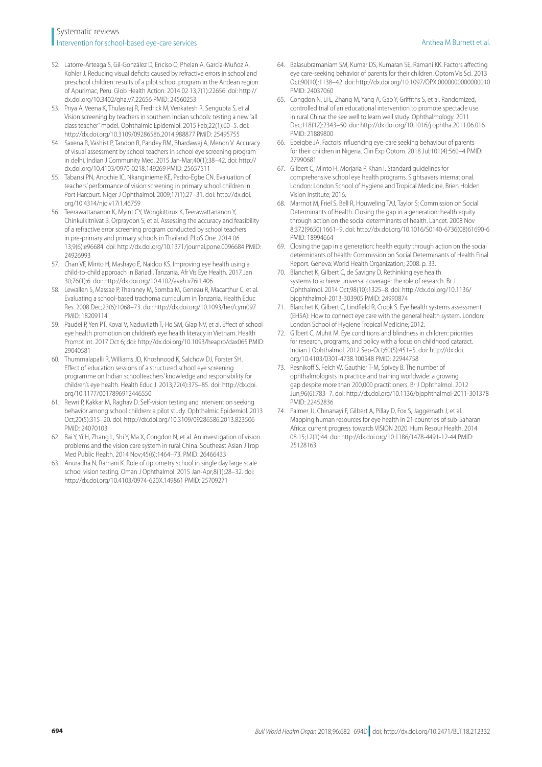# Systematic reviews **Intervention for school-based eye-care services** Anthea M Burnett et al. Anthea M Burnett et al.

- <span id="page-12-10"></span>52. Latorre-Arteaga S, Gil-González D, Enciso O, Phelan A, García-Muñoz A, Kohler J. Reducing visual deficits caused by refractive errors in school and preschool children: results of a pilot school program in the Andean region of Apurimac, Peru. Glob Health Action. 2014 02 13;7(1):22656. doi: [http://](http://dx.doi.org/10.3402/gha.v7.22656) [dx.doi.org/10.3402/gha.v7.22656](http://dx.doi.org/10.3402/gha.v7.22656) PMID: [24560253](http://www.ncbi.nlm.nih.gov/pubmed/24560253)
- <span id="page-12-14"></span>53. Priya A, Veena K, Thulasiraj R, Fredrick M, Venkatesh R, Sengupta S, et al. Vision screening by teachers in southern Indian schools: testing a new "all class teacher" model. Ophthalmic Epidemiol. 2015 Feb;22(1):60–5. doi: <http://dx.doi.org/10.3109/09286586.2014.988877> PMID: [25495755](http://www.ncbi.nlm.nih.gov/pubmed/25495755)
- <span id="page-12-12"></span>54. Saxena R, Vashist P, Tandon R, Pandey RM, Bhardawaj A, Menon V. Accuracy of visual assessment by school teachers in school eye screening program in delhi. Indian J Community Med. 2015 Jan-Mar;40(1):38–42. doi: [http://](http://dx.doi.org/10.4103/0970-0218.149269) [dx.doi.org/10.4103/0970-0218.149269](http://dx.doi.org/10.4103/0970-0218.149269) PMID: [25657511](http://www.ncbi.nlm.nih.gov/pubmed/25657511)
- <span id="page-12-9"></span>55. Tabansi PN, Anochie IC, Nkanginieme KE, Pedro-Egbe CN. Evaluation of teachers' performance of vision screening in primary school children in Port Harcourt. Niger J Ophthalmol. 2009;17(1):27–31. doi: [http://dx.doi.](http://dx.doi.org/10.4314/njo.v17i1.46759) [org/10.4314/njo.v17i1.46759](http://dx.doi.org/10.4314/njo.v17i1.46759)
- <span id="page-12-4"></span>56. Teerawattananon K, Myint CY, Wongkittirux K, Teerawattananon Y, Chinkulkitnivat B, Orprayoon S, et al. Assessing the accuracy and feasibility of a refractive error screening program conducted by school teachers in pre-primary and primary schools in Thailand. PLoS One. 2014 06 13;9(6):e96684. doi: <http://dx.doi.org/10.1371/journal.pone.0096684> PMID: [24926993](http://www.ncbi.nlm.nih.gov/pubmed/24926993)
- <span id="page-12-5"></span>57. Chan VF, Minto H, Mashayo E, Naidoo KS. Improving eye health using a child-to-child approach in Bariadi, Tanzania. Afr Vis Eye Health. 2017 Jan 30;76(1):6. doi: <http://dx.doi.org/10.4102/aveh.v76i1.406>
- <span id="page-12-13"></span>58. Lewallen S, Massae P, Tharaney M, Somba M, Geneau R, Macarthur C, et al. Evaluating a school-based trachoma curriculum in Tanzania. Health Educ Res. 2008 Dec;23(6):1068–73. doi: <http://dx.doi.org/10.1093/her/cym097> PMID: [18209114](http://www.ncbi.nlm.nih.gov/pubmed/18209114)
- <span id="page-12-15"></span>59. Paudel P, Yen PT, Kovai V, Naduvilath T, Ho SM, Giap NV, et al. Effect of school eye health promotion on children's eye health literacy in Vietnam. Health Promot Int. 2017 Oct 6; doi:<http://dx.doi.org/10.1093/heapro/dax065> PMID: [29040581](http://www.ncbi.nlm.nih.gov/pubmed/29040581)
- <span id="page-12-6"></span>60. Thummalapalli R, Williams JD, Khoshnood K, Salchow DJ, Forster SH. Effect of education sessions of a structured school eye screening programme on Indian schoolteachers' knowledge and responsibility for children's eye health. Health Educ J. 2013;72(4):375–85. doi: [http://dx.doi.](http://dx.doi.org/10.1177/0017896912446550) [org/10.1177/0017896912446550](http://dx.doi.org/10.1177/0017896912446550)
- <span id="page-12-7"></span>61. Rewri P, Kakkar M, Raghav D. Self-vision testing and intervention seeking behavior among school children: a pilot study. Ophthalmic Epidemiol. 2013 Oct;20(5):315–20. doi:<http://dx.doi.org/10.3109/09286586.2013.823506> PMID: [24070103](http://www.ncbi.nlm.nih.gov/pubmed/24070103)
- <span id="page-12-1"></span>62. Bai Y, Yi H, Zhang L, Shi Y, Ma X, Congdon N, et al. An investigation of vision problems and the vision care system in rural China. Southeast Asian J Trop Med Public Health. 2014 Nov;45(6):1464–73. PMID: [26466433](http://www.ncbi.nlm.nih.gov/pubmed/26466433)
- <span id="page-12-11"></span>63. Anuradha N, Ramani K. Role of optometry school in single day large scale school vision testing. Oman J Ophthalmol. 2015 Jan-Apr;8(1):28–32. doi: <http://dx.doi.org/10.4103/0974-620X.149861> PMID: [25709271](http://www.ncbi.nlm.nih.gov/pubmed/25709271)
- <span id="page-12-2"></span>64. Balasubramaniam SM, Kumar DS, Kumaran SE, Ramani KK. Factors affecting eye care-seeking behavior of parents for their children. Optom Vis Sci. 2013 Oct;90(10):1138–42. doi:<http://dx.doi.org/10.1097/OPX.0000000000000010> PMID: [24037060](http://www.ncbi.nlm.nih.gov/pubmed/24037060)
- <span id="page-12-3"></span>65. Congdon N, Li L, Zhang M, Yang A, Gao Y, Griffiths S, et al. Randomized, controlled trial of an educational intervention to promote spectacle use in rural China: the see well to learn well study. Ophthalmology. 2011 Dec;118(12):2343–50. doi:<http://dx.doi.org/10.1016/j.ophtha.2011.06.016> PMID: [21889800](http://www.ncbi.nlm.nih.gov/pubmed/21889800)
- <span id="page-12-0"></span>66. Ebeigbe JA. Factors influencing eye-care seeking behaviour of parents for their children in Nigeria. Clin Exp Optom. 2018 Jul;101(4):560–4 PMID: [27990681](http://www.ncbi.nlm.nih.gov/pubmed/27990681)
- <span id="page-12-8"></span>67. Gilbert C, Minto H, Morjaria P, Khan I. Standard guidelines for comprehensive school eye health programs. Sightsavers International. London: London School of Hygiene and Tropical Medicine, Brien Holden Vision Institute; 2016.
- <span id="page-12-16"></span>68. Marmot M, Friel S, Bell R, Houweling TAJ, Taylor S; Commission on Social Determinants of Health. Closing the gap in a generation: health equity through action on the social determinants of health. Lancet. 2008 Nov 8;372(9650):1661–9. doi: [http://dx.doi.org/10.1016/S0140-6736\(08\)61690-6](http://dx.doi.org/10.1016/S0140-6736(08)61690-6)  PMID: [18994664](http://www.ncbi.nlm.nih.gov/pubmed/18994664)
- <span id="page-12-17"></span>69. Closing the gap in a generation: health equity through action on the social determinants of health: Commission on Social Determinants of Health Final Report. Geneva: World Health Organization; 2008. p. 33.
- <span id="page-12-18"></span>70. Blanchet K, Gilbert C, de Savigny D. Rethinking eye health systems to achieve universal coverage: the role of research. Br J Ophthalmol. 2014 Oct;98(10):1325–8. doi: [http://dx.doi.org/10.1136/](http://dx.doi.org/10.1136/bjophthalmol-2013-303905) [bjophthalmol-2013-303905](http://dx.doi.org/10.1136/bjophthalmol-2013-303905) PMID: [24990874](http://www.ncbi.nlm.nih.gov/pubmed/24990874)
- <span id="page-12-19"></span>71. Blanchet K, Gilbert C, Lindfield R, Crook S. Eye health systems assessment (EHSA): How to connect eye care with the general health system. London: London School of Hygiene Tropical Medicine; 2012.
- <span id="page-12-20"></span>72. Gilbert C, Muhit M. Eye conditions and blindness in children: priorities for research, programs, and policy with a focus on childhood cataract. Indian J Ophthalmol. 2012 Sep-Oct;60(5):451–5. doi: [http://dx.doi.](http://dx.doi.org/10.4103/0301-4738.100548) [org/10.4103/0301-4738.100548](http://dx.doi.org/10.4103/0301-4738.100548) PMID: [22944758](http://www.ncbi.nlm.nih.gov/pubmed/22944758)
- <span id="page-12-21"></span>73. Resnikoff S, Felch W, Gauthier T-M, Spivey B. The number of ophthalmologists in practice and training worldwide: a growing gap despite more than 200,000 practitioners. Br J Ophthalmol. 2012 Jun;96(6):783–7. doi: <http://dx.doi.org/10.1136/bjophthalmol-2011-301378> PMID: [22452836](http://www.ncbi.nlm.nih.gov/pubmed/22452836)
- <span id="page-12-22"></span>74. Palmer JJ, Chinanayi F, Gilbert A, Pillay D, Fox S, Jaggernath J, et al. Mapping human resources for eye health in 21 countries of sub-Saharan Africa: current progress towards VISION 2020. Hum Resour Health. 2014 08 15;12(1):44. doi:<http://dx.doi.org/10.1186/1478-4491-12-44> PMID: [25128163](http://www.ncbi.nlm.nih.gov/pubmed/25128163)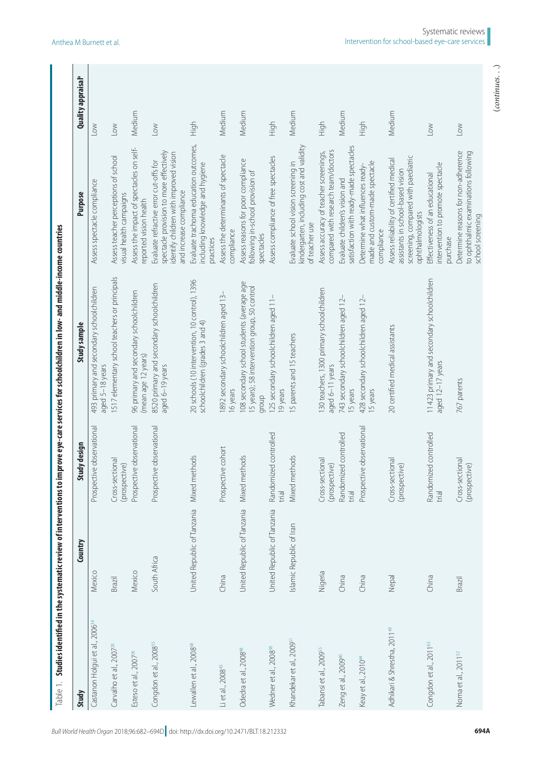<span id="page-13-0"></span>

| Study                                      | Country                     | Study design                     | Study sample                                                                                       | <b>Purpose</b>                                                                                                                                         | <b>Quality appraisal</b>  |
|--------------------------------------------|-----------------------------|----------------------------------|----------------------------------------------------------------------------------------------------|--------------------------------------------------------------------------------------------------------------------------------------------------------|---------------------------|
| Castanon Holgui et al., 2006 <sup>34</sup> | Mexico                      | ective observational<br>Prospe   | 493 primary and secondary schoolchildren<br>aged 5-18 years                                        | Assess spectacle compliance                                                                                                                            | $\leq$                    |
| Carvalho et al., 2007 <sup>20</sup>        | Brazil                      | Cross-sectional<br>(prospective) | 517 elementary school teachers or principals                                                       | Assess teacher perceptions of school<br>visual health campaigns                                                                                        | $\overline{\mathsf{row}}$ |
| Esteso et al., 2007 <sup>26</sup>          | Mexico                      | Prospective observational        | 96 primary and secondary schoolchildren<br>(mean age 12 years)                                     | Assess the impact of spectacles on self-<br>reported vision health                                                                                     | Medium                    |
| Congdon et al., 2008 <sup>35</sup>         | South Africa                | Prospective observational        | 8520 primary and secondary schoolchildren<br>aged 6-19 years                                       | spectacle provision to more effectively<br>identify children with improved vision<br>Evaluate refractive error cut-offs for<br>and increase compliance | $\leq$                    |
| Lewallen et al., 2008 <sup>58</sup>        | United Republic of Tanzania | Mixed methods                    | 20 schools (10 intervention, 10 control), 1396<br>schoolchildren (grades 3 and 4)                  | Evaluate trachoma education outcomes,<br>including knowledge and hygiene<br>practices                                                                  | High                      |
| Li et al., 2008 <sup>45</sup>              | China                       | ective cohort<br>Prospe          | 892 secondary schoolchildren aged 13-<br>16 years                                                  | Assess the determinants of spectacle<br>compliance                                                                                                     | Medium                    |
| Odedra et al., 2008 <sup>48</sup>          | United Republic of Tanzania | Mixed methods                    | 108 secondary school students (average age<br>5 years); 58 intervention group, 50 control<br>dionb | Assess reasons for poor compliance<br>following in-school provision of<br>spectacles                                                                   | Medium                    |
| Wedner et al., 2008 <sup>38</sup>          | United Republic of Tanzania | Randomized controlled<br>trial   | 125 secondary schoolchildren aged 11-<br>19 years                                                  | Assess compliance of free spectacles                                                                                                                   | High                      |
| Khandekar et al., 2009 <sup>51</sup>       | Islamic Republic of Iran    | Mixed methods                    | 15 parents and 15 teachers                                                                         | kindergarten, including cost and validity<br>Evaluate school vision screening in<br>of teacher use                                                     | Medium                    |
| Tabansi et al., 2009 <sup>55</sup>         | Nigeria                     | Cross-sectional<br>(prospective) | 130 teachers, 1300 primary schoolchildren<br>aged 6-11 years                                       | compared with research team/doctors<br>Assess accuracy of teacher screenings,                                                                          | High                      |
| Zeng et al., 2009 <sup>40</sup>            | China                       | Randomized controlled<br>trial   | 743 secondary schoolchildren aged 12-<br>15 years                                                  | satisfaction with ready-made spectacles<br>Evaluate children's vision and                                                                              | Medium                    |
| Keay et al., 2010 <sup>44</sup>            | China                       | Prospective observational        | 428 secondary schoolchildren aged 12-<br>15 years                                                  | made and custom-made spectacle<br>Determine what influences ready-<br>compliance                                                                       | High                      |
| Adhikari & Shrestha, 2011 <sup>49</sup>    | Nepal                       | Cross-sectional<br>(prospective) | 20 certified medical assistants                                                                    | screening, compared with paediatric<br>Assess reliability of certified medical<br>assistants in school-based vision<br>ophthalmologists                | Medium                    |
| Congdon et al., 2011 <sup>65</sup>         | China                       | Randomized controlled<br>trial   | 11423 primary and secondary schoolchildren<br>aged 12-17 years                                     | intervention to promote spectacle<br>Effectiveness of an educational<br>purchase                                                                       | $\geq$                    |
| Noma et al., 2011 <sup>32</sup>            | Brazil                      | Cross-sectional<br>(prospective) | 767 parents                                                                                        | Determine reasons for non-adherence<br>to ophthalmic examinations following<br>school screening                                                        | Low                       |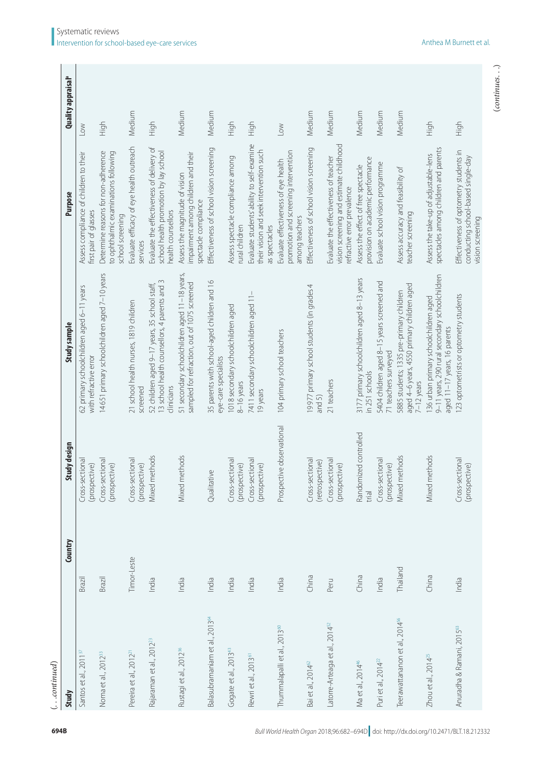| $\ldots$ continued)                        |             |                                    |                                                                                                                         |                                                                                                                 |                           |
|--------------------------------------------|-------------|------------------------------------|-------------------------------------------------------------------------------------------------------------------------|-----------------------------------------------------------------------------------------------------------------|---------------------------|
| Study                                      | Country     | Study design                       | Study sample                                                                                                            | <b>Purpose</b>                                                                                                  | <b>Quality appraisal</b>  |
| Santos et al., 2011 <sup>37</sup>          | Brazil      | Cross-sectional<br>(prospective)   | 62 primary schoolchildren aged 6-11 years<br>with refractive error                                                      | Assess compliance of children to their<br>first pair of glasses                                                 | $\geq$                    |
| Noma et al., 2012 <sup>33</sup>            | Brazil      | Cross-sectional<br>(prospective)   | 14651 primary schoolchildren aged 7-10 years                                                                            | Determine reasons for non-adherence<br>to ophthalmic examinations following<br>school screening                 | High                      |
| Pereira et al., 2012 <sup>2</sup>          | Timor-Leste | Cross-sectional<br>(prospective)   | 21 school health nurses, 1819 children<br>screened                                                                      | Evaluate efficacy of eye health outreach<br>services                                                            | Medium                    |
| Rajaraman et al., 2012 <sup>23</sup>       | India       | Mixed methods                      | 13 school health counsellors, 4 parents and 3<br>52 children aged 9–17 years, 35 school staff,<br>clinicians            | Evaluate the effectiveness of delivery of<br>school health promotion by lay school<br>health counsellors        | High                      |
| Rustagi et al., 2012 <sup>36</sup>         | India       | Mixed methods                      | 51 secondary schoolchildren aged 11-18 years,<br>sampled for refraction, out of 1075 screened                           | impairment among children and their<br>Assess the magnitude of vision<br>spectacle compliance                   | Medium                    |
| Balasubramaniam et al., 2013 <sup>64</sup> | India       | Qualitative                        | 35 parents with school-aged children and 16<br>eye-care specialists                                                     | Effectiveness of school vision screening                                                                        | Medium                    |
| Gogate et al., 2013 <sup>43</sup>          | India       | Cross-sectional<br>(prospective)   | 1018 secondary schoolchildren aged<br>8-16 years                                                                        | Assess spectacle compliance among<br>rural children                                                             | High                      |
| Rewri et al., 2013 <sup>61</sup>           | India       | Cross-sectional<br>(prospective)   | 7411 secondary schoolchildren aged 11-<br>19 years                                                                      | Evaluate students' ability to self-examine<br>their vision and seek intervention such<br>as spectacles          | High                      |
| Thummalapalli et al., 2013 <sup>60</sup>   | India       | Prospective observational          | 104 primary school teachers                                                                                             | promotion and screening intervention<br>Evaluate effectiveness of eye health<br>among teachers                  | $\overline{\mathsf{row}}$ |
| Bai et al., 2014 <sup>62</sup>             | China       | Cross-sectional<br>(retrospective) | 19977 primary school students (in grades 4<br>and 5)                                                                    | Effectiveness of school vision screening                                                                        | Medium                    |
| Latorre-Arteaga et al., 2014 <sup>52</sup> | Peru        | Cross-sectional<br>(prospective)   | 21 teachers                                                                                                             | vision screening and estimate childhood<br>Evaluate the effectiveness of teacher<br>refractive error prevalence | Medium                    |
| Ma et al., 2014 <sup>46</sup>              | China       | Randomized controlled<br>trial     | 3177 primary schoolchildren aged 8-13 years<br>in 251 schools                                                           | provision on academic performance<br>Assess the effect of free spectacle                                        | Medium                    |
| Puri et al., 2014 <sup>22</sup>            | India       | Cross-sectional<br>(prospective)   | 5404 children aged 8-15 years screened and<br>71 teachers surveyed                                                      | Evaluate school vision programme                                                                                | Medium                    |
| Teerawattananon et al., 2014 <sup>56</sup> | Thailand    | Mixed methods                      | aged 4-6 years, 4550 primary children aged<br>5885 students; 1335 pre-primary children<br>$7-12$ years                  | Assess accuracy and feasibility of<br>teacher screening                                                         | Medium                    |
| Zhou et al., $2014^{25}$                   | China       | Mixed methods                      | 9-11 years, 290 rural secondary schoolchildren<br>136 urban primary schoolchildren aged<br>aged 11-17 years, 16 parents | spectacles among children and parents<br>Assess the take-up of adjustable-lens                                  | High                      |
| Anuradha & Ramani, 2015 <sup>63</sup>      | India       | Cross-sectional<br>(prospective)   | 123 optometrists or optometry students                                                                                  | Effectiveness of optometry students in<br>conducting school-based single-day<br>vision screening                | High                      |

 $\mathbb{R}^n$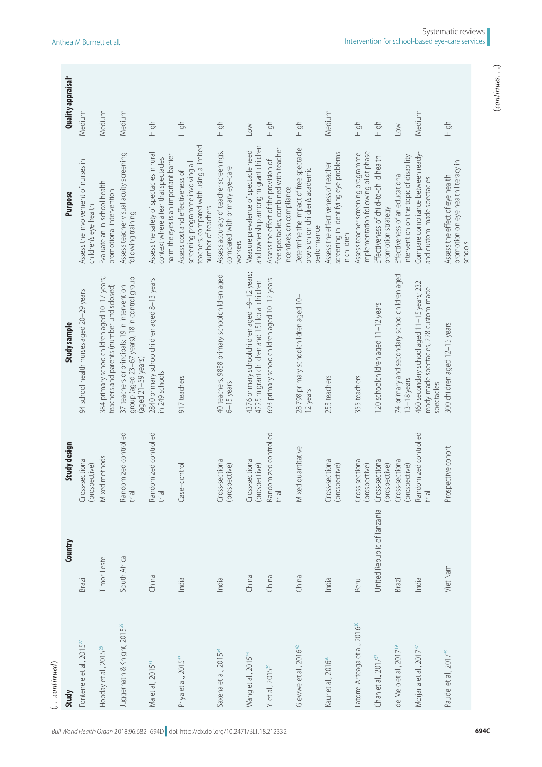| $\left(\ldots$ continued)                  |                             |                                                 |                                                                                                                      |                                                                                                                                        |                                      |
|--------------------------------------------|-----------------------------|-------------------------------------------------|----------------------------------------------------------------------------------------------------------------------|----------------------------------------------------------------------------------------------------------------------------------------|--------------------------------------|
| Study                                      | Country                     | Study design                                    | Study sample                                                                                                         | <b>Purpose</b>                                                                                                                         | <b>Quality appraisal<sup>a</sup></b> |
| Fontenele et al., 2015 <sup>27</sup>       | Brazil                      | Cross-sectional<br>(prospective)                | 94 school health nurses aged 20-29 years                                                                             | Assess the involvement of nurses in<br>children's eye health                                                                           | Medium                               |
| Hobday et al., 2015 <sup>28</sup>          | Timor-Leste                 | Mixed methods                                   | 384 primary schoolchildren aged 10-17 years;<br>teachers and parents (number undisclosed)                            | Evaluate an in-school health<br>promotional intervention                                                                               | Medium                               |
| Juggernath & Knight, 2015 <sup>29</sup>    | South Africa                | Randomized controlled<br>trial                  | group (aged 23-67 years), 18 in control group<br>37 teachers or principals; 19 in intervention<br>(aged 21-59 years) | Assess teacher visual acuity screening<br>following training                                                                           | Medium                               |
| Ma et al., 2015 <sup>31</sup>              | China                       | Randomized controlled<br>trial                  | 2840 primary schoolchildren aged 8-13 years<br>in 249 schools                                                        | Assess the safety of spectacles in rural<br>harm the eyes is an important barrier<br>context where a fear that spectacles              | High                                 |
| Priya et al., 2015 <sup>53</sup>           | India                       | Case-control                                    | 917 teachers                                                                                                         | teachers, compared with using a limited<br>screening programme involving all<br>Assess cost and effectiveness of<br>number of teachers | High                                 |
| Saxena et al., 2015 <sup>54</sup>          | India                       | Cross-sectional<br>(prospective)                | 40 teachers, 9838 primary schoolchildren aged<br>$6-15$ years                                                        | Assess accuracy of teacher screenings,<br>compared with primary eye-care<br>workers                                                    | High                                 |
| Wang et al., 2015 <sup>24</sup>            | China                       | Cross-sectional<br>(prospective)                | 4376 primary schoolchildren aged ~9-12 years;<br>4225 migrant children and 151 local children                        | and ownership among migrant children<br>Measure prevalence of spectacle need                                                           | $\leq$                               |
| Yi et al., 2015 <sup>39</sup>              | China                       | Randomized controlled<br>trial                  | 693 primary schoolchildren aged 10-12 years                                                                          | free spectacles, combined with teacher<br>Assess the effect of the provision of<br>incentives, on compliance                           | High                                 |
| Glewwe et al., $201642$                    | China                       | Mixed quantitative                              | 28798 primary schoolchildren aged 10-<br>12 years                                                                    | Determine the impact of free spectacle<br>provision on children's academic<br>performance                                              | High                                 |
| Kaur et al., 2016 <sup>50</sup>            | India                       | Cross-sectional<br>$\widehat{e}$<br>(prospectiv | 253 teachers                                                                                                         | screening in identifying eye problems<br>Assess the effectiveness of teacher<br>in children                                            | Medium                               |
| Latorre-Arteaga et al., 2016 <sup>30</sup> | Peru                        | Cross-sectional<br>(prospective)                | 355 teachers                                                                                                         | implementation following pilot phase<br>Assess teacher screening programme                                                             | High                                 |
| Chan et al., 2017 <sup>57</sup>            | United Republic of Tanzania | Cross-sectional<br>(prospective)                | 120 schoolchildren aged 11-12 years                                                                                  | Effectiveness of child-to-child health<br>promotion strategy                                                                           | High                                 |
| de Melo et al., 2017 <sup>19</sup>         | Brazil                      | Cross-sectional<br>(prospective)                | 74 primary and secondary schoolchildren aged<br>$13-18$ years                                                        | intervention on the topic of disability<br>Effectiveness of an educational                                                             | $\sqrt{2}$                           |
| Morjaria et al., 2017 <sup>4,</sup>        | India                       | Randomized controlled<br>trial                  | 460 secondary school aged 11-15 years; 232<br>ready-made spectacles, 228 custom-made<br>spectacles                   | Compare compliance between ready-<br>and custom-made spectacles                                                                        | Medium                               |
| Paudel et al., 2017 <sup>59</sup>          | Viet Nam                    | Prospective cohort                              | 300 children aged 12-15 years                                                                                        | promotion on eye health literacy in<br>Assess the effect of eye health<br>schools                                                      | High                                 |
|                                            |                             |                                                 |                                                                                                                      |                                                                                                                                        |                                      |